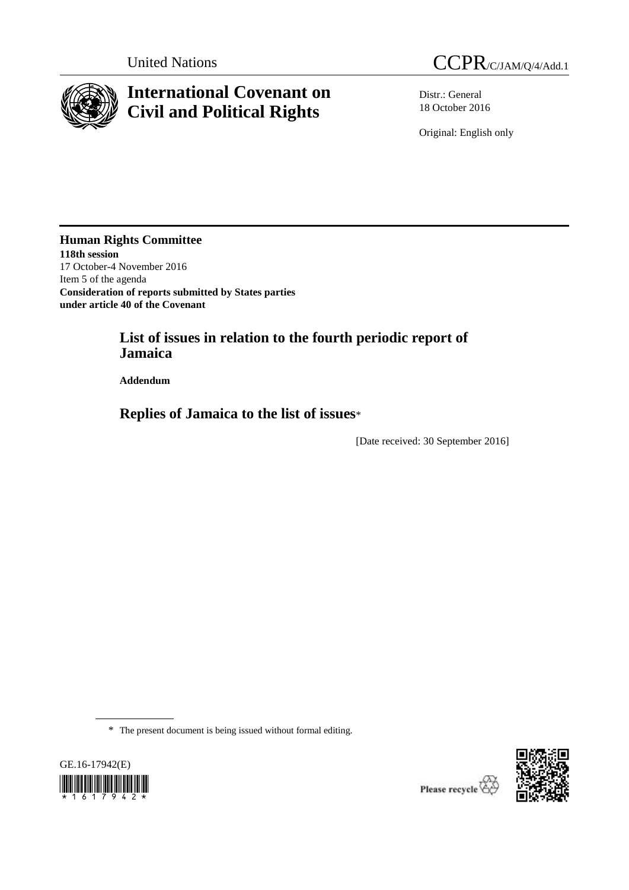

# **International Covenant on Civil and Political Rights**



Distr.: General 18 October 2016

Original: English only

**Human Rights Committee 118th session** 17 October-4 November 2016 Item 5 of the agenda **Consideration of reports submitted by States parties under article 40 of the Covenant**

> **List of issues in relation to the fourth periodic report of Jamaica**

**Addendum**

**Replies of Jamaica to the list of issues**\*

[Date received: 30 September 2016]

\* The present document is being issued without formal editing.



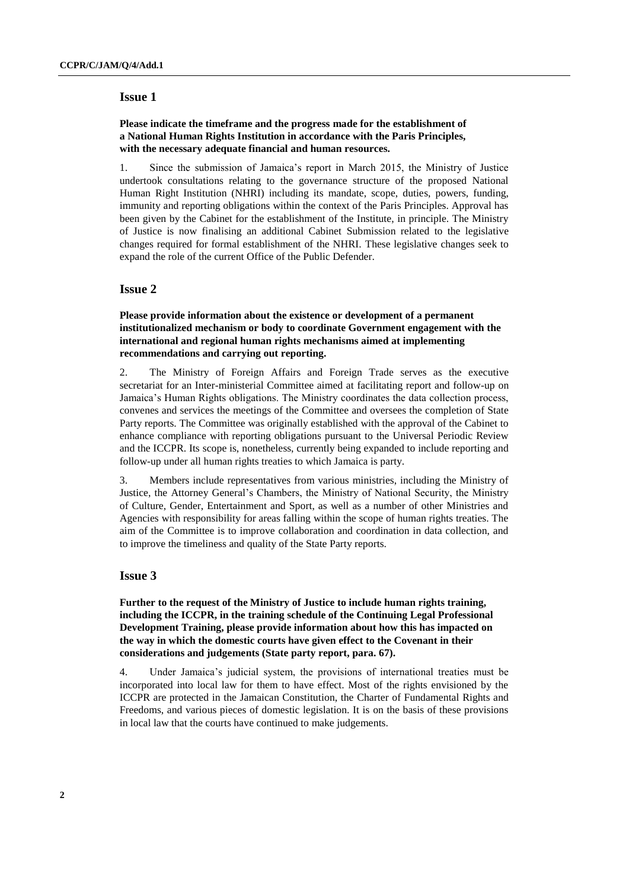### **Please indicate the timeframe and the progress made for the establishment of a National Human Rights Institution in accordance with the Paris Principles, with the necessary adequate financial and human resources.**

1. Since the submission of Jamaica's report in March 2015, the Ministry of Justice undertook consultations relating to the governance structure of the proposed National Human Right Institution (NHRI) including its mandate, scope, duties, powers, funding, immunity and reporting obligations within the context of the Paris Principles. Approval has been given by the Cabinet for the establishment of the Institute, in principle. The Ministry of Justice is now finalising an additional Cabinet Submission related to the legislative changes required for formal establishment of the NHRI. These legislative changes seek to expand the role of the current Office of the Public Defender.

# **Issue 2**

# **Please provide information about the existence or development of a permanent institutionalized mechanism or body to coordinate Government engagement with the international and regional human rights mechanisms aimed at implementing recommendations and carrying out reporting.**

2. The Ministry of Foreign Affairs and Foreign Trade serves as the executive secretariat for an Inter-ministerial Committee aimed at facilitating report and follow-up on Jamaica's Human Rights obligations. The Ministry coordinates the data collection process, convenes and services the meetings of the Committee and oversees the completion of State Party reports. The Committee was originally established with the approval of the Cabinet to enhance compliance with reporting obligations pursuant to the Universal Periodic Review and the ICCPR. Its scope is, nonetheless, currently being expanded to include reporting and follow-up under all human rights treaties to which Jamaica is party.

3. Members include representatives from various ministries, including the Ministry of Justice, the Attorney General's Chambers, the Ministry of National Security, the Ministry of Culture, Gender, Entertainment and Sport, as well as a number of other Ministries and Agencies with responsibility for areas falling within the scope of human rights treaties. The aim of the Committee is to improve collaboration and coordination in data collection, and to improve the timeliness and quality of the State Party reports.

# **Issue 3**

**Further to the request of the Ministry of Justice to include human rights training, including the ICCPR, in the training schedule of the Continuing Legal Professional Development Training, please provide information about how this has impacted on the way in which the domestic courts have given effect to the Covenant in their considerations and judgements (State party report, para. 67).**

4. Under Jamaica's judicial system, the provisions of international treaties must be incorporated into local law for them to have effect. Most of the rights envisioned by the ICCPR are protected in the Jamaican Constitution, the Charter of Fundamental Rights and Freedoms, and various pieces of domestic legislation. It is on the basis of these provisions in local law that the courts have continued to make judgements.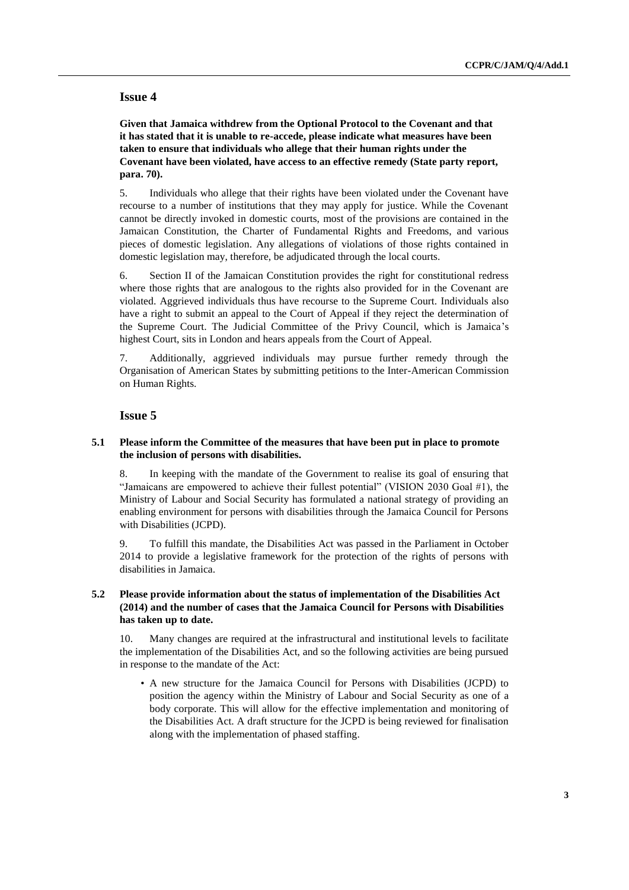**Given that Jamaica withdrew from the Optional Protocol to the Covenant and that it has stated that it is unable to re-accede, please indicate what measures have been taken to ensure that individuals who allege that their human rights under the Covenant have been violated, have access to an effective remedy (State party report, para. 70).**

5. Individuals who allege that their rights have been violated under the Covenant have recourse to a number of institutions that they may apply for justice. While the Covenant cannot be directly invoked in domestic courts, most of the provisions are contained in the Jamaican Constitution, the Charter of Fundamental Rights and Freedoms, and various pieces of domestic legislation. Any allegations of violations of those rights contained in domestic legislation may, therefore, be adjudicated through the local courts.

6. Section II of the Jamaican Constitution provides the right for constitutional redress where those rights that are analogous to the rights also provided for in the Covenant are violated. Aggrieved individuals thus have recourse to the Supreme Court. Individuals also have a right to submit an appeal to the Court of Appeal if they reject the determination of the Supreme Court. The Judicial Committee of the Privy Council, which is Jamaica's highest Court, sits in London and hears appeals from the Court of Appeal.

7. Additionally, aggrieved individuals may pursue further remedy through the Organisation of American States by submitting petitions to the Inter-American Commission on Human Rights.

# **Issue 5**

### **5.1 Please inform the Committee of the measures that have been put in place to promote the inclusion of persons with disabilities.**

8. In keeping with the mandate of the Government to realise its goal of ensuring that "Jamaicans are empowered to achieve their fullest potential" (VISION 2030 Goal #1), the Ministry of Labour and Social Security has formulated a national strategy of providing an enabling environment for persons with disabilities through the Jamaica Council for Persons with Disabilities (JCPD).

9. To fulfill this mandate, the Disabilities Act was passed in the Parliament in October 2014 to provide a legislative framework for the protection of the rights of persons with disabilities in Jamaica.

# **5.2 Please provide information about the status of implementation of the Disabilities Act (2014) and the number of cases that the Jamaica Council for Persons with Disabilities has taken up to date.**

10. Many changes are required at the infrastructural and institutional levels to facilitate the implementation of the Disabilities Act, and so the following activities are being pursued in response to the mandate of the Act:

• A new structure for the Jamaica Council for Persons with Disabilities (JCPD) to position the agency within the Ministry of Labour and Social Security as one of a body corporate. This will allow for the effective implementation and monitoring of the Disabilities Act. A draft structure for the JCPD is being reviewed for finalisation along with the implementation of phased staffing.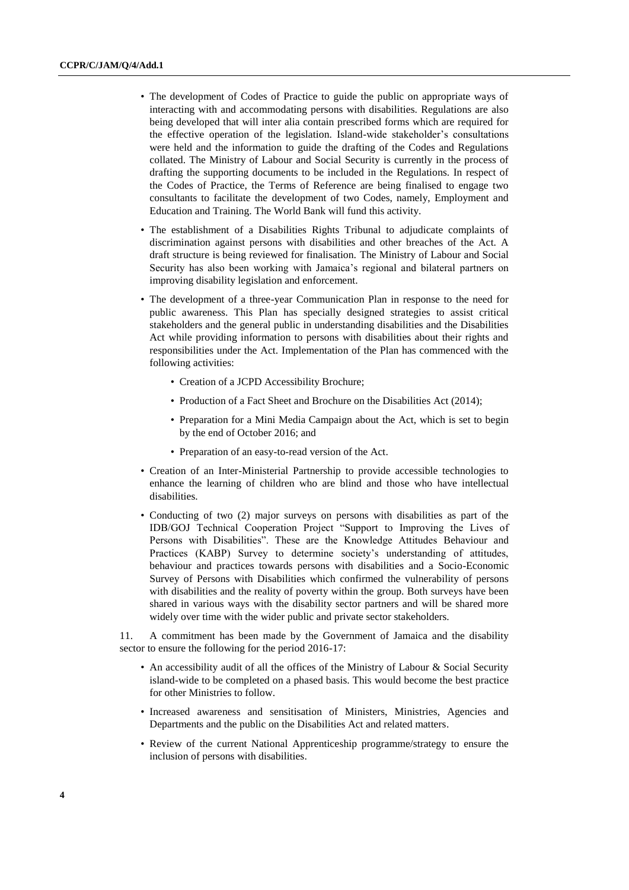- The development of Codes of Practice to guide the public on appropriate ways of interacting with and accommodating persons with disabilities. Regulations are also being developed that will inter alia contain prescribed forms which are required for the effective operation of the legislation. Island-wide stakeholder's consultations were held and the information to guide the drafting of the Codes and Regulations collated. The Ministry of Labour and Social Security is currently in the process of drafting the supporting documents to be included in the Regulations. In respect of the Codes of Practice, the Terms of Reference are being finalised to engage two consultants to facilitate the development of two Codes, namely, Employment and Education and Training. The World Bank will fund this activity.
- The establishment of a Disabilities Rights Tribunal to adjudicate complaints of discrimination against persons with disabilities and other breaches of the Act. A draft structure is being reviewed for finalisation. The Ministry of Labour and Social Security has also been working with Jamaica's regional and bilateral partners on improving disability legislation and enforcement.
- The development of a three-year Communication Plan in response to the need for public awareness. This Plan has specially designed strategies to assist critical stakeholders and the general public in understanding disabilities and the Disabilities Act while providing information to persons with disabilities about their rights and responsibilities under the Act. Implementation of the Plan has commenced with the following activities:
	- Creation of a JCPD Accessibility Brochure;
	- Production of a Fact Sheet and Brochure on the Disabilities Act (2014);
	- Preparation for a Mini Media Campaign about the Act, which is set to begin by the end of October 2016; and
	- Preparation of an easy-to-read version of the Act.
- Creation of an Inter-Ministerial Partnership to provide accessible technologies to enhance the learning of children who are blind and those who have intellectual disabilities.
- Conducting of two (2) major surveys on persons with disabilities as part of the IDB/GOJ Technical Cooperation Project "Support to Improving the Lives of Persons with Disabilities". These are the Knowledge Attitudes Behaviour and Practices (KABP) Survey to determine society's understanding of attitudes, behaviour and practices towards persons with disabilities and a Socio-Economic Survey of Persons with Disabilities which confirmed the vulnerability of persons with disabilities and the reality of poverty within the group. Both surveys have been shared in various ways with the disability sector partners and will be shared more widely over time with the wider public and private sector stakeholders.

11. A commitment has been made by the Government of Jamaica and the disability sector to ensure the following for the period 2016-17:

- An accessibility audit of all the offices of the Ministry of Labour & Social Security island-wide to be completed on a phased basis. This would become the best practice for other Ministries to follow.
- Increased awareness and sensitisation of Ministers, Ministries, Agencies and Departments and the public on the Disabilities Act and related matters.
- Review of the current National Apprenticeship programme/strategy to ensure the inclusion of persons with disabilities.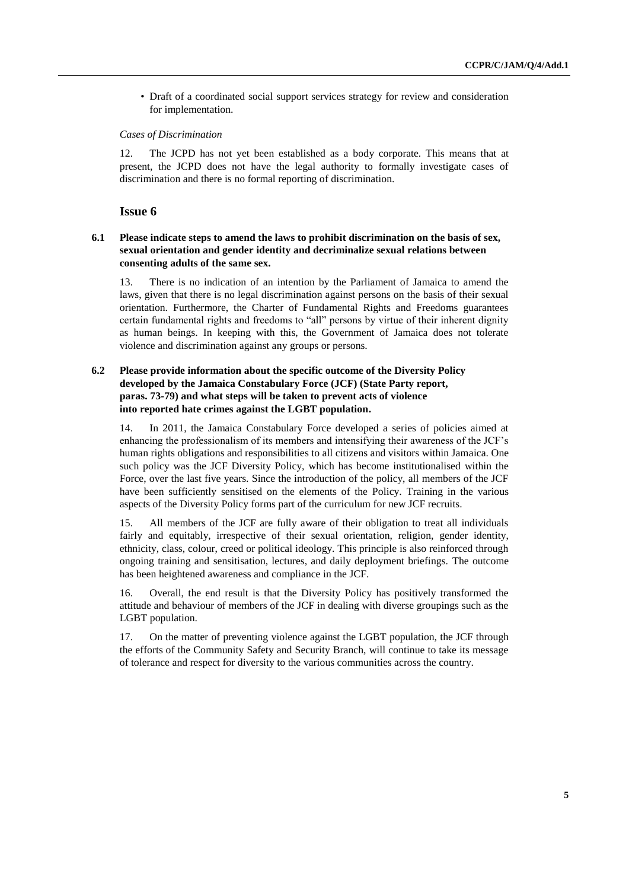• Draft of a coordinated social support services strategy for review and consideration for implementation.

#### *Cases of Discrimination*

12. The JCPD has not yet been established as a body corporate. This means that at present, the JCPD does not have the legal authority to formally investigate cases of discrimination and there is no formal reporting of discrimination.

#### **Issue 6**

# **6.1 Please indicate steps to amend the laws to prohibit discrimination on the basis of sex, sexual orientation and gender identity and decriminalize sexual relations between consenting adults of the same sex.**

13. There is no indication of an intention by the Parliament of Jamaica to amend the laws, given that there is no legal discrimination against persons on the basis of their sexual orientation. Furthermore, the Charter of Fundamental Rights and Freedoms guarantees certain fundamental rights and freedoms to "all" persons by virtue of their inherent dignity as human beings. In keeping with this, the Government of Jamaica does not tolerate violence and discrimination against any groups or persons.

# **6.2 Please provide information about the specific outcome of the Diversity Policy developed by the Jamaica Constabulary Force (JCF) (State Party report, paras. 73-79) and what steps will be taken to prevent acts of violence into reported hate crimes against the LGBT population.**

14. In 2011, the Jamaica Constabulary Force developed a series of policies aimed at enhancing the professionalism of its members and intensifying their awareness of the JCF's human rights obligations and responsibilities to all citizens and visitors within Jamaica. One such policy was the JCF Diversity Policy, which has become institutionalised within the Force, over the last five years. Since the introduction of the policy, all members of the JCF have been sufficiently sensitised on the elements of the Policy. Training in the various aspects of the Diversity Policy forms part of the curriculum for new JCF recruits.

15. All members of the JCF are fully aware of their obligation to treat all individuals fairly and equitably, irrespective of their sexual orientation, religion, gender identity, ethnicity, class, colour, creed or political ideology. This principle is also reinforced through ongoing training and sensitisation, lectures, and daily deployment briefings. The outcome has been heightened awareness and compliance in the JCF.

16. Overall, the end result is that the Diversity Policy has positively transformed the attitude and behaviour of members of the JCF in dealing with diverse groupings such as the LGBT population.

17. On the matter of preventing violence against the LGBT population, the JCF through the efforts of the Community Safety and Security Branch, will continue to take its message of tolerance and respect for diversity to the various communities across the country.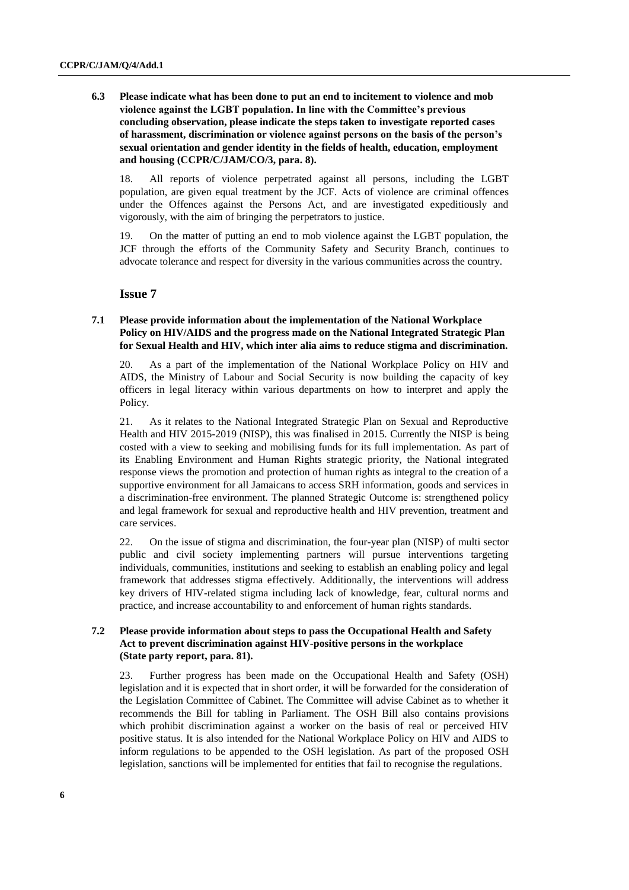# **6.3 Please indicate what has been done to put an end to incitement to violence and mob violence against the LGBT population. In line with the Committee's previous concluding observation, please indicate the steps taken to investigate reported cases of harassment, discrimination or violence against persons on the basis of the person's sexual orientation and gender identity in the fields of health, education, employment and housing (CCPR/C/JAM/CO/3, para. 8).**

18. All reports of violence perpetrated against all persons, including the LGBT population, are given equal treatment by the JCF. Acts of violence are criminal offences under the Offences against the Persons Act, and are investigated expeditiously and vigorously, with the aim of bringing the perpetrators to justice.

19. On the matter of putting an end to mob violence against the LGBT population, the JCF through the efforts of the Community Safety and Security Branch, continues to advocate tolerance and respect for diversity in the various communities across the country.

# **Issue 7**

# **7.1 Please provide information about the implementation of the National Workplace Policy on HIV/AIDS and the progress made on the National Integrated Strategic Plan for Sexual Health and HIV, which inter alia aims to reduce stigma and discrimination.**

20. As a part of the implementation of the National Workplace Policy on HIV and AIDS, the Ministry of Labour and Social Security is now building the capacity of key officers in legal literacy within various departments on how to interpret and apply the Policy.

21. As it relates to the National Integrated Strategic Plan on Sexual and Reproductive Health and HIV 2015-2019 (NISP), this was finalised in 2015. Currently the NISP is being costed with a view to seeking and mobilising funds for its full implementation. As part of its Enabling Environment and Human Rights strategic priority, the National integrated response views the promotion and protection of human rights as integral to the creation of a supportive environment for all Jamaicans to access SRH information, goods and services in a discrimination-free environment. The planned Strategic Outcome is: strengthened policy and legal framework for sexual and reproductive health and HIV prevention, treatment and care services.

22. On the issue of stigma and discrimination, the four-year plan (NISP) of multi sector public and civil society implementing partners will pursue interventions targeting individuals, communities, institutions and seeking to establish an enabling policy and legal framework that addresses stigma effectively. Additionally, the interventions will address key drivers of HIV-related stigma including lack of knowledge, fear, cultural norms and practice, and increase accountability to and enforcement of human rights standards.

# **7.2 Please provide information about steps to pass the Occupational Health and Safety Act to prevent discrimination against HIV-positive persons in the workplace (State party report, para. 81).**

23. Further progress has been made on the Occupational Health and Safety (OSH) legislation and it is expected that in short order, it will be forwarded for the consideration of the Legislation Committee of Cabinet. The Committee will advise Cabinet as to whether it recommends the Bill for tabling in Parliament. The OSH Bill also contains provisions which prohibit discrimination against a worker on the basis of real or perceived HIV positive status. It is also intended for the National Workplace Policy on HIV and AIDS to inform regulations to be appended to the OSH legislation. As part of the proposed OSH legislation, sanctions will be implemented for entities that fail to recognise the regulations.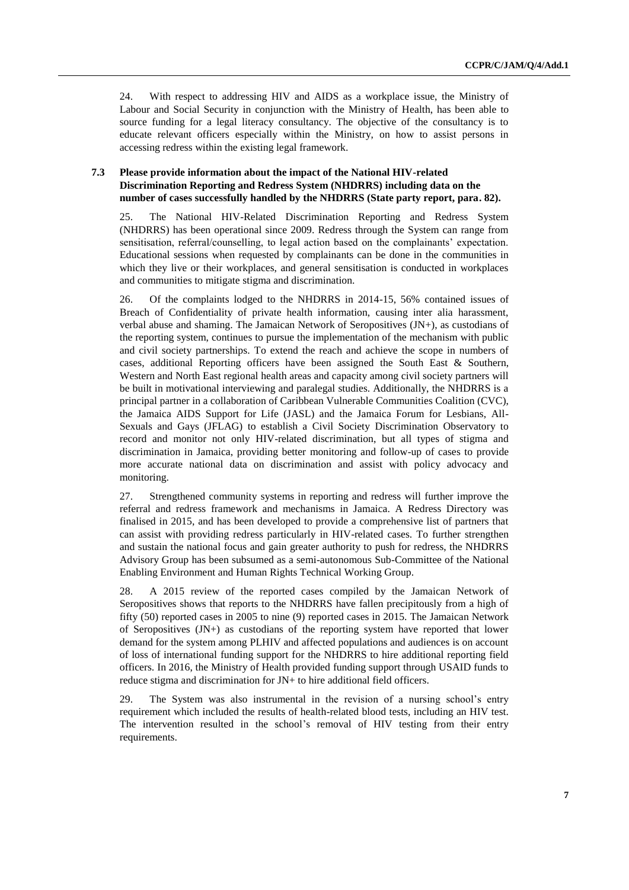24. With respect to addressing HIV and AIDS as a workplace issue, the Ministry of Labour and Social Security in conjunction with the Ministry of Health, has been able to source funding for a legal literacy consultancy. The objective of the consultancy is to educate relevant officers especially within the Ministry, on how to assist persons in accessing redress within the existing legal framework.

# **7.3 Please provide information about the impact of the National HIV-related Discrimination Reporting and Redress System (NHDRRS) including data on the number of cases successfully handled by the NHDRRS (State party report, para. 82).**

25. The National HIV-Related Discrimination Reporting and Redress System (NHDRRS) has been operational since 2009. Redress through the System can range from sensitisation, referral/counselling, to legal action based on the complainants' expectation. Educational sessions when requested by complainants can be done in the communities in which they live or their workplaces, and general sensitisation is conducted in workplaces and communities to mitigate stigma and discrimination.

26. Of the complaints lodged to the NHDRRS in 2014-15, 56% contained issues of Breach of Confidentiality of private health information, causing inter alia harassment, verbal abuse and shaming. The Jamaican Network of Seropositives (JN+), as custodians of the reporting system, continues to pursue the implementation of the mechanism with public and civil society partnerships. To extend the reach and achieve the scope in numbers of cases, additional Reporting officers have been assigned the South East & Southern, Western and North East regional health areas and capacity among civil society partners will be built in motivational interviewing and paralegal studies. Additionally, the NHDRRS is a principal partner in a collaboration of Caribbean Vulnerable Communities Coalition (CVC), the Jamaica AIDS Support for Life (JASL) and the Jamaica Forum for Lesbians, All-Sexuals and Gays (JFLAG) to establish a Civil Society Discrimination Observatory to record and monitor not only HIV-related discrimination, but all types of stigma and discrimination in Jamaica, providing better monitoring and follow-up of cases to provide more accurate national data on discrimination and assist with policy advocacy and monitoring.

27. Strengthened community systems in reporting and redress will further improve the referral and redress framework and mechanisms in Jamaica. A Redress Directory was finalised in 2015, and has been developed to provide a comprehensive list of partners that can assist with providing redress particularly in HIV-related cases. To further strengthen and sustain the national focus and gain greater authority to push for redress, the NHDRRS Advisory Group has been subsumed as a semi-autonomous Sub-Committee of the National Enabling Environment and Human Rights Technical Working Group.

28. A 2015 review of the reported cases compiled by the Jamaican Network of Seropositives shows that reports to the NHDRRS have fallen precipitously from a high of fifty (50) reported cases in 2005 to nine (9) reported cases in 2015. The Jamaican Network of Seropositives (JN+) as custodians of the reporting system have reported that lower demand for the system among PLHIV and affected populations and audiences is on account of loss of international funding support for the NHDRRS to hire additional reporting field officers. In 2016, the Ministry of Health provided funding support through USAID funds to reduce stigma and discrimination for JN+ to hire additional field officers.

29. The System was also instrumental in the revision of a nursing school's entry requirement which included the results of health-related blood tests, including an HIV test. The intervention resulted in the school's removal of HIV testing from their entry requirements.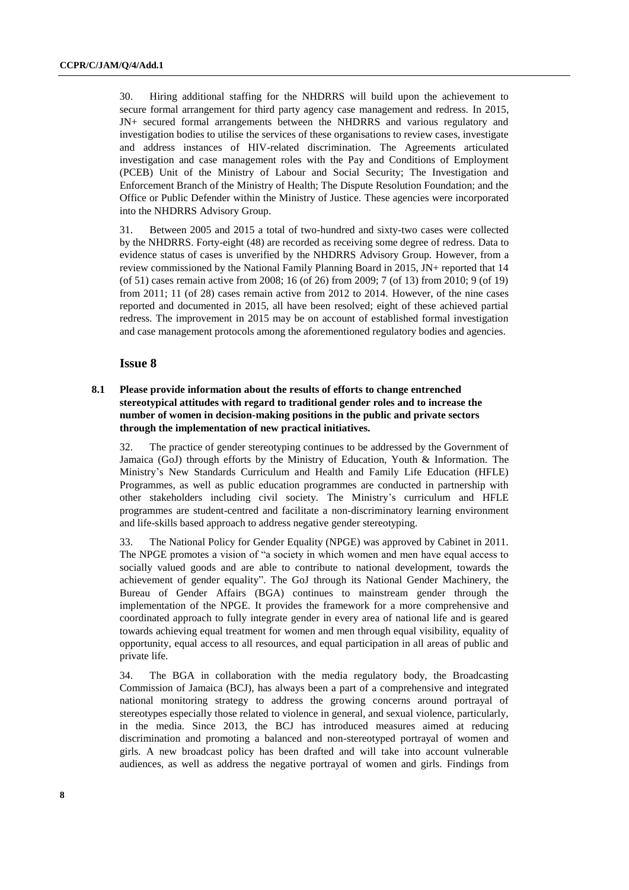30. Hiring additional staffing for the NHDRRS will build upon the achievement to secure formal arrangement for third party agency case management and redress. In 2015, JN+ secured formal arrangements between the NHDRRS and various regulatory and investigation bodies to utilise the services of these organisations to review cases, investigate and address instances of HIV-related discrimination. The Agreements articulated investigation and case management roles with the Pay and Conditions of Employment (PCEB) Unit of the Ministry of Labour and Social Security; The Investigation and Enforcement Branch of the Ministry of Health; The Dispute Resolution Foundation; and the Office or Public Defender within the Ministry of Justice. These agencies were incorporated into the NHDRRS Advisory Group.

31. Between 2005 and 2015 a total of two-hundred and sixty-two cases were collected by the NHDRRS. Forty-eight (48) are recorded as receiving some degree of redress. Data to evidence status of cases is unverified by the NHDRRS Advisory Group. However, from a review commissioned by the National Family Planning Board in 2015, JN+ reported that 14 (of 51) cases remain active from 2008; 16 (of 26) from 2009; 7 (of 13) from 2010; 9 (of 19) from 2011; 11 (of 28) cases remain active from 2012 to 2014. However, of the nine cases reported and documented in 2015, all have been resolved; eight of these achieved partial redress. The improvement in 2015 may be on account of established formal investigation and case management protocols among the aforementioned regulatory bodies and agencies.

# **Issue 8**

**8.1 Please provide information about the results of efforts to change entrenched stereotypical attitudes with regard to traditional gender roles and to increase the number of women in decision-making positions in the public and private sectors through the implementation of new practical initiatives.** 

32. The practice of gender stereotyping continues to be addressed by the Government of Jamaica (GoJ) through efforts by the Ministry of Education, Youth & Information. The Ministry's New Standards Curriculum and Health and Family Life Education (HFLE) Programmes, as well as public education programmes are conducted in partnership with other stakeholders including civil society. The Ministry's curriculum and HFLE programmes are student-centred and facilitate a non-discriminatory learning environment and life-skills based approach to address negative gender stereotyping.

33. The National Policy for Gender Equality (NPGE) was approved by Cabinet in 2011. The NPGE promotes a vision of "a society in which women and men have equal access to socially valued goods and are able to contribute to national development, towards the achievement of gender equality". The GoJ through its National Gender Machinery, the Bureau of Gender Affairs (BGA) continues to mainstream gender through the implementation of the NPGE. It provides the framework for a more comprehensive and coordinated approach to fully integrate gender in every area of national life and is geared towards achieving equal treatment for women and men through equal visibility, equality of opportunity, equal access to all resources, and equal participation in all areas of public and private life.

34. The BGA in collaboration with the media regulatory body, the Broadcasting Commission of Jamaica (BCJ), has always been a part of a comprehensive and integrated national monitoring strategy to address the growing concerns around portrayal of stereotypes especially those related to violence in general, and sexual violence, particularly, in the media. Since 2013, the BCJ has introduced measures aimed at reducing discrimination and promoting a balanced and non-stereotyped portrayal of women and girls. A new broadcast policy has been drafted and will take into account vulnerable audiences, as well as address the negative portrayal of women and girls. Findings from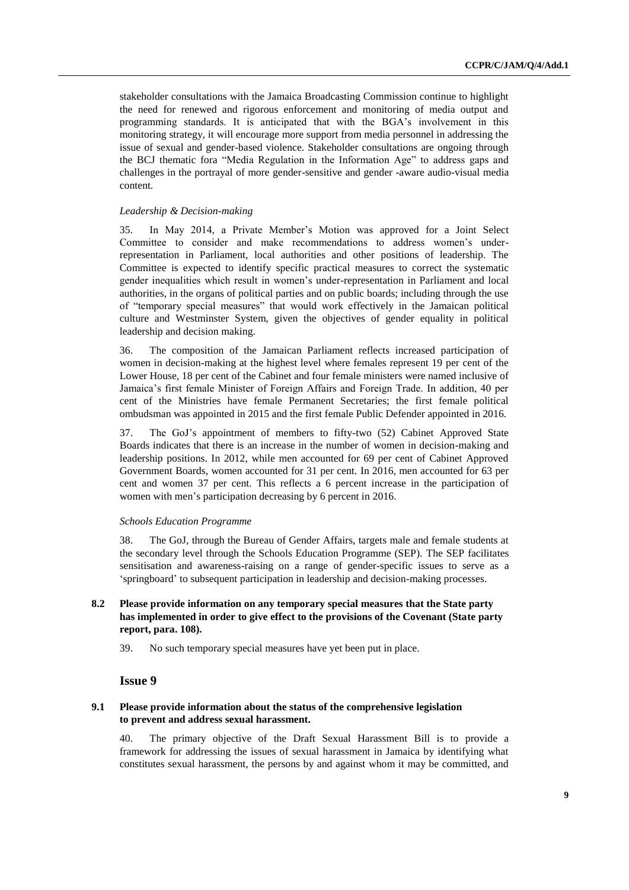stakeholder consultations with the Jamaica Broadcasting Commission continue to highlight the need for renewed and rigorous enforcement and monitoring of media output and programming standards. It is anticipated that with the BGA's involvement in this monitoring strategy, it will encourage more support from media personnel in addressing the issue of sexual and gender-based violence. Stakeholder consultations are ongoing through the BCJ thematic fora "Media Regulation in the Information Age" to address gaps and challenges in the portrayal of more gender-sensitive and gender -aware audio-visual media content.

### *Leadership & Decision-making*

35. In May 2014, a Private Member's Motion was approved for a Joint Select Committee to consider and make recommendations to address women's underrepresentation in Parliament, local authorities and other positions of leadership. The Committee is expected to identify specific practical measures to correct the systematic gender inequalities which result in women's under-representation in Parliament and local authorities, in the organs of political parties and on public boards; including through the use of "temporary special measures" that would work effectively in the Jamaican political culture and Westminster System, given the objectives of gender equality in political leadership and decision making.

36. The composition of the Jamaican Parliament reflects increased participation of women in decision-making at the highest level where females represent 19 per cent of the Lower House, 18 per cent of the Cabinet and four female ministers were named inclusive of Jamaica's first female Minister of Foreign Affairs and Foreign Trade. In addition, 40 per cent of the Ministries have female Permanent Secretaries; the first female political ombudsman was appointed in 2015 and the first female Public Defender appointed in 2016.

37. The GoJ's appointment of members to fifty-two (52) Cabinet Approved State Boards indicates that there is an increase in the number of women in decision-making and leadership positions. In 2012, while men accounted for 69 per cent of Cabinet Approved Government Boards, women accounted for 31 per cent. In 2016, men accounted for 63 per cent and women 37 per cent. This reflects a 6 percent increase in the participation of women with men's participation decreasing by 6 percent in 2016.

#### *Schools Education Programme*

38. The GoJ, through the Bureau of Gender Affairs, targets male and female students at the secondary level through the Schools Education Programme (SEP). The SEP facilitates sensitisation and awareness-raising on a range of gender-specific issues to serve as a 'springboard' to subsequent participation in leadership and decision-making processes.

### **8.2 Please provide information on any temporary special measures that the State party has implemented in order to give effect to the provisions of the Covenant (State party report, para. 108).**

39. No such temporary special measures have yet been put in place.

# **Issue 9**

### **9.1 Please provide information about the status of the comprehensive legislation to prevent and address sexual harassment.**

40. The primary objective of the Draft Sexual Harassment Bill is to provide a framework for addressing the issues of sexual harassment in Jamaica by identifying what constitutes sexual harassment, the persons by and against whom it may be committed, and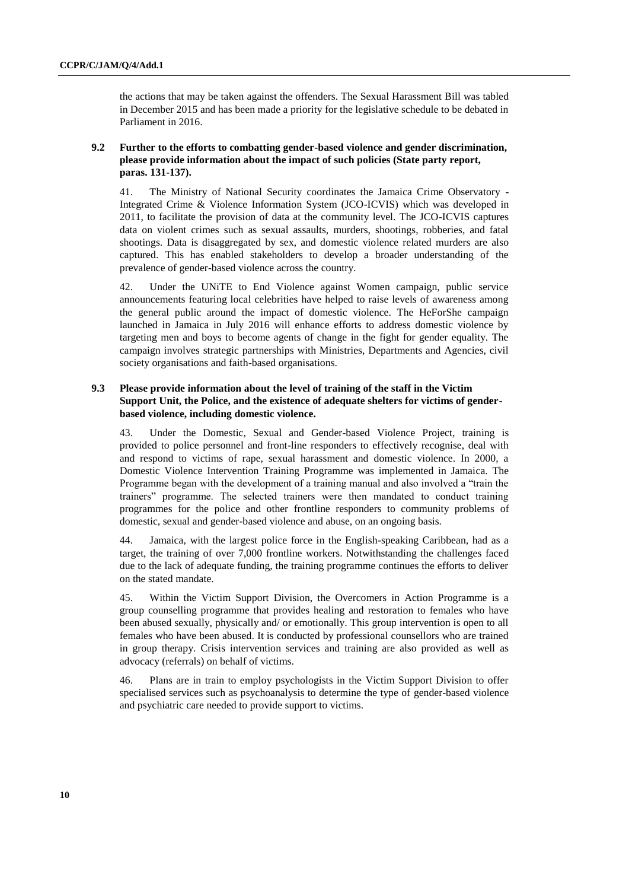the actions that may be taken against the offenders. The Sexual Harassment Bill was tabled in December 2015 and has been made a priority for the legislative schedule to be debated in Parliament in 2016.

# **9.2 Further to the efforts to combatting gender-based violence and gender discrimination, please provide information about the impact of such policies (State party report, paras. 131-137).**

41. The Ministry of National Security coordinates the Jamaica Crime Observatory - Integrated Crime & Violence Information System (JCO-ICVIS) which was developed in 2011, to facilitate the provision of data at the community level. The JCO-ICVIS captures data on violent crimes such as sexual assaults, murders, shootings, robberies, and fatal shootings. Data is disaggregated by sex, and domestic violence related murders are also captured. This has enabled stakeholders to develop a broader understanding of the prevalence of gender-based violence across the country.

42. Under the UNiTE to End Violence against Women campaign, public service announcements featuring local celebrities have helped to raise levels of awareness among the general public around the impact of domestic violence. The HeForShe campaign launched in Jamaica in July 2016 will enhance efforts to address domestic violence by targeting men and boys to become agents of change in the fight for gender equality. The campaign involves strategic partnerships with Ministries, Departments and Agencies, civil society organisations and faith-based organisations.

# **9.3 Please provide information about the level of training of the staff in the Victim Support Unit, the Police, and the existence of adequate shelters for victims of genderbased violence, including domestic violence.**

43. Under the Domestic, Sexual and Gender-based Violence Project, training is provided to police personnel and front-line responders to effectively recognise, deal with and respond to victims of rape, sexual harassment and domestic violence. In 2000, a Domestic Violence Intervention Training Programme was implemented in Jamaica. The Programme began with the development of a training manual and also involved a "train the trainers" programme. The selected trainers were then mandated to conduct training programmes for the police and other frontline responders to community problems of domestic, sexual and gender-based violence and abuse, on an ongoing basis.

44. Jamaica, with the largest police force in the English-speaking Caribbean, had as a target, the training of over 7,000 frontline workers. Notwithstanding the challenges faced due to the lack of adequate funding, the training programme continues the efforts to deliver on the stated mandate.

45. Within the Victim Support Division, the Overcomers in Action Programme is a group counselling programme that provides healing and restoration to females who have been abused sexually, physically and/ or emotionally. This group intervention is open to all females who have been abused. It is conducted by professional counsellors who are trained in group therapy. Crisis intervention services and training are also provided as well as advocacy (referrals) on behalf of victims.

46. Plans are in train to employ psychologists in the Victim Support Division to offer specialised services such as psychoanalysis to determine the type of gender-based violence and psychiatric care needed to provide support to victims.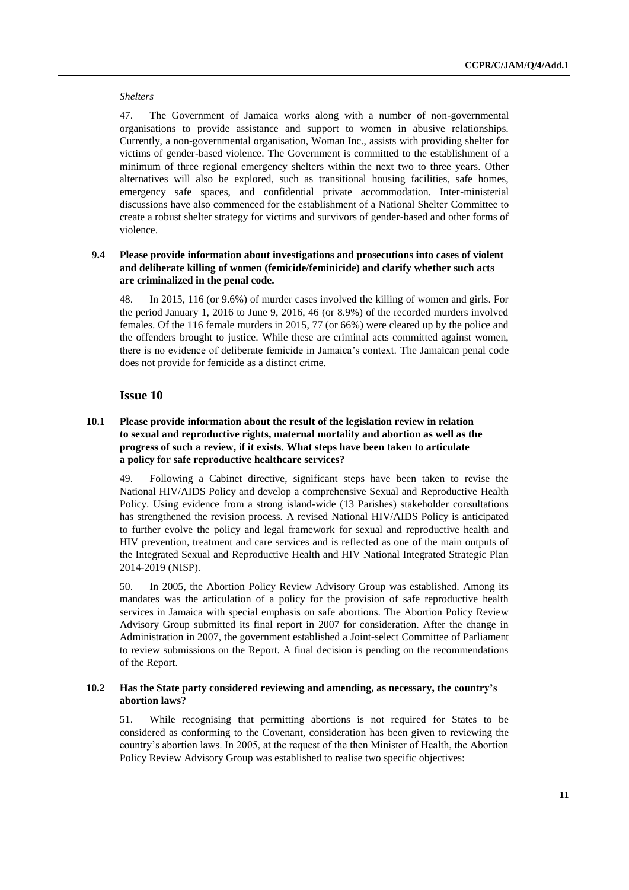#### *Shelters*

47. The Government of Jamaica works along with a number of non-governmental organisations to provide assistance and support to women in abusive relationships. Currently, a non-governmental organisation, Woman Inc., assists with providing shelter for victims of gender-based violence. The Government is committed to the establishment of a minimum of three regional emergency shelters within the next two to three years. Other alternatives will also be explored, such as transitional housing facilities, safe homes, emergency safe spaces, and confidential private accommodation. Inter-ministerial discussions have also commenced for the establishment of a National Shelter Committee to create a robust shelter strategy for victims and survivors of gender-based and other forms of violence.

# **9.4 Please provide information about investigations and prosecutions into cases of violent and deliberate killing of women (femicide/feminicide) and clarify whether such acts are criminalized in the penal code.**

48. In 2015, 116 (or 9.6%) of murder cases involved the killing of women and girls. For the period January 1, 2016 to June 9, 2016, 46 (or 8.9%) of the recorded murders involved females. Of the 116 female murders in 2015, 77 (or 66%) were cleared up by the police and the offenders brought to justice. While these are criminal acts committed against women, there is no evidence of deliberate femicide in Jamaica's context. The Jamaican penal code does not provide for femicide as a distinct crime.

### **Issue 10**

# **10.1 Please provide information about the result of the legislation review in relation to sexual and reproductive rights, maternal mortality and abortion as well as the progress of such a review, if it exists. What steps have been taken to articulate a policy for safe reproductive healthcare services?**

49. Following a Cabinet directive, significant steps have been taken to revise the National HIV/AIDS Policy and develop a comprehensive Sexual and Reproductive Health Policy. Using evidence from a strong island-wide (13 Parishes) stakeholder consultations has strengthened the revision process. A revised National HIV/AIDS Policy is anticipated to further evolve the policy and legal framework for sexual and reproductive health and HIV prevention, treatment and care services and is reflected as one of the main outputs of the Integrated Sexual and Reproductive Health and HIV National Integrated Strategic Plan 2014-2019 (NISP).

50. In 2005, the Abortion Policy Review Advisory Group was established. Among its mandates was the articulation of a policy for the provision of safe reproductive health services in Jamaica with special emphasis on safe abortions. The Abortion Policy Review Advisory Group submitted its final report in 2007 for consideration. After the change in Administration in 2007, the government established a Joint-select Committee of Parliament to review submissions on the Report. A final decision is pending on the recommendations of the Report.

### **10.2 Has the State party considered reviewing and amending, as necessary, the country's abortion laws?**

51. While recognising that permitting abortions is not required for States to be considered as conforming to the Covenant, consideration has been given to reviewing the country's abortion laws. In 2005, at the request of the then Minister of Health, the Abortion Policy Review Advisory Group was established to realise two specific objectives: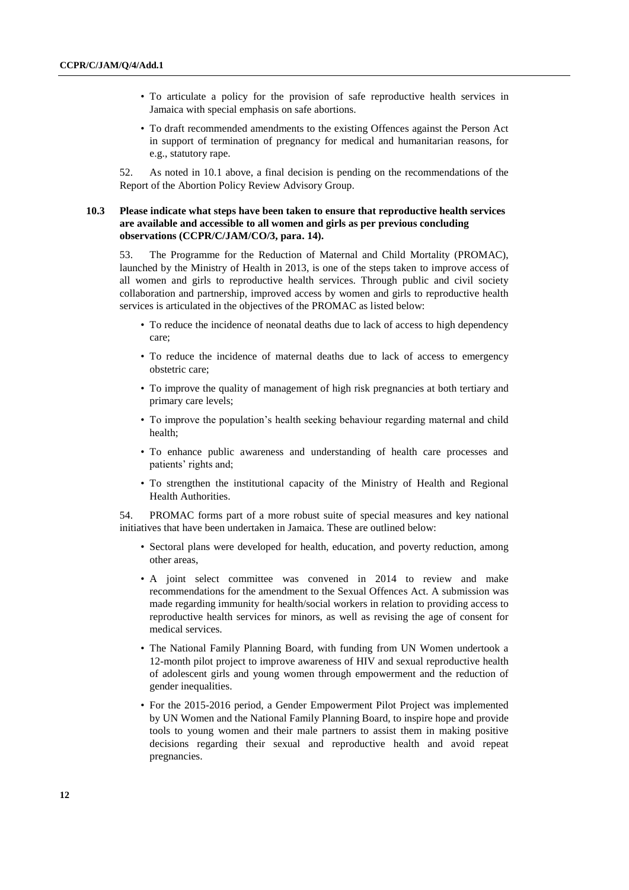- To articulate a policy for the provision of safe reproductive health services in Jamaica with special emphasis on safe abortions.
- To draft recommended amendments to the existing Offences against the Person Act in support of termination of pregnancy for medical and humanitarian reasons, for e.g., statutory rape.

52. As noted in 10.1 above, a final decision is pending on the recommendations of the Report of the Abortion Policy Review Advisory Group.

### **10.3 Please indicate what steps have been taken to ensure that reproductive health services are available and accessible to all women and girls as per previous concluding observations (CCPR/C/JAM/CO/3, para. 14).**

53. The Programme for the Reduction of Maternal and Child Mortality (PROMAC), launched by the Ministry of Health in 2013, is one of the steps taken to improve access of all women and girls to reproductive health services. Through public and civil society collaboration and partnership, improved access by women and girls to reproductive health services is articulated in the objectives of the PROMAC as listed below:

- To reduce the incidence of neonatal deaths due to lack of access to high dependency care;
- To reduce the incidence of maternal deaths due to lack of access to emergency obstetric care;
- To improve the quality of management of high risk pregnancies at both tertiary and primary care levels;
- To improve the population's health seeking behaviour regarding maternal and child health;
- To enhance public awareness and understanding of health care processes and patients' rights and;
- To strengthen the institutional capacity of the Ministry of Health and Regional Health Authorities.

54. PROMAC forms part of a more robust suite of special measures and key national initiatives that have been undertaken in Jamaica. These are outlined below:

- Sectoral plans were developed for health, education, and poverty reduction, among other areas,
- A joint select committee was convened in 2014 to review and make recommendations for the amendment to the Sexual Offences Act. A submission was made regarding immunity for health/social workers in relation to providing access to reproductive health services for minors, as well as revising the age of consent for medical services.
- The National Family Planning Board, with funding from UN Women undertook a 12-month pilot project to improve awareness of HIV and sexual reproductive health of adolescent girls and young women through empowerment and the reduction of gender inequalities.
- For the 2015-2016 period, a Gender Empowerment Pilot Project was implemented by UN Women and the National Family Planning Board, to inspire hope and provide tools to young women and their male partners to assist them in making positive decisions regarding their sexual and reproductive health and avoid repeat pregnancies.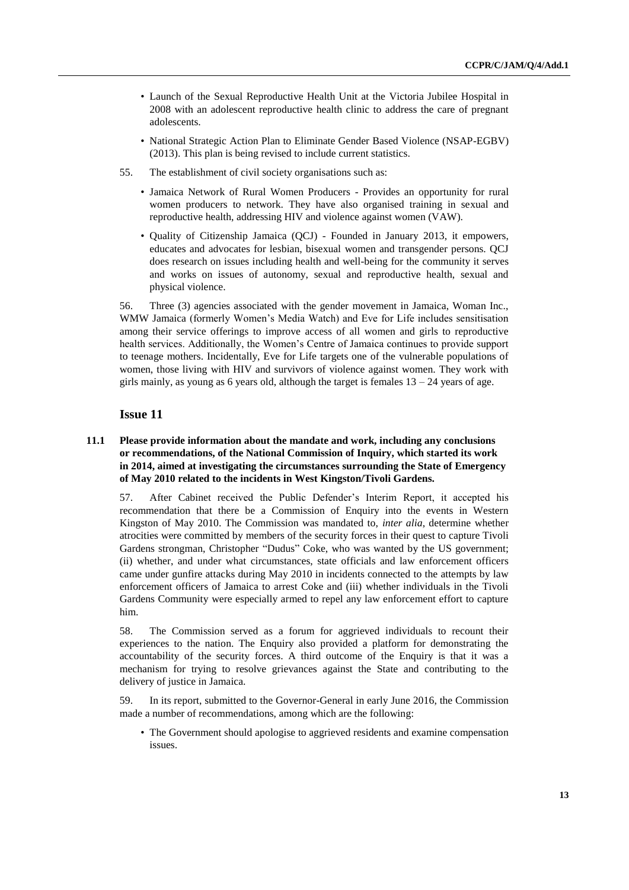- Launch of the Sexual Reproductive Health Unit at the Victoria Jubilee Hospital in 2008 with an adolescent reproductive health clinic to address the care of pregnant adolescents.
- National Strategic Action Plan to Eliminate Gender Based Violence (NSAP-EGBV) (2013). This plan is being revised to include current statistics.
- 55. The establishment of civil society organisations such as:
	- Jamaica Network of Rural Women Producers Provides an opportunity for rural women producers to network. They have also organised training in sexual and reproductive health, addressing HIV and violence against women (VAW).
	- Quality of Citizenship Jamaica (QCJ) Founded in January 2013, it empowers, educates and advocates for lesbian, bisexual women and transgender persons. QCJ does research on issues including health and well-being for the community it serves and works on issues of autonomy, sexual and reproductive health, sexual and physical violence.

56. Three (3) agencies associated with the gender movement in Jamaica, Woman Inc., WMW Jamaica (formerly Women's Media Watch) and Eve for Life includes sensitisation among their service offerings to improve access of all women and girls to reproductive health services. Additionally, the Women's Centre of Jamaica continues to provide support to teenage mothers. Incidentally, Eve for Life targets one of the vulnerable populations of women, those living with HIV and survivors of violence against women. They work with girls mainly, as young as 6 years old, although the target is females  $13 - 24$  years of age.

# **Issue 11**

# **11.1 Please provide information about the mandate and work, including any conclusions or recommendations, of the National Commission of Inquiry, which started its work in 2014, aimed at investigating the circumstances surrounding the State of Emergency of May 2010 related to the incidents in West Kingston/Tivoli Gardens.**

57. After Cabinet received the Public Defender's Interim Report, it accepted his recommendation that there be a Commission of Enquiry into the events in Western Kingston of May 2010. The Commission was mandated to, *inter alia*, determine whether atrocities were committed by members of the security forces in their quest to capture Tivoli Gardens strongman, Christopher "Dudus" Coke, who was wanted by the US government; (ii) whether, and under what circumstances, state officials and law enforcement officers came under gunfire attacks during May 2010 in incidents connected to the attempts by law enforcement officers of Jamaica to arrest Coke and (iii) whether individuals in the Tivoli Gardens Community were especially armed to repel any law enforcement effort to capture him.

58. The Commission served as a forum for aggrieved individuals to recount their experiences to the nation. The Enquiry also provided a platform for demonstrating the accountability of the security forces. A third outcome of the Enquiry is that it was a mechanism for trying to resolve grievances against the State and contributing to the delivery of justice in Jamaica.

59. In its report, submitted to the Governor-General in early June 2016, the Commission made a number of recommendations, among which are the following:

• The Government should apologise to aggrieved residents and examine compensation issues.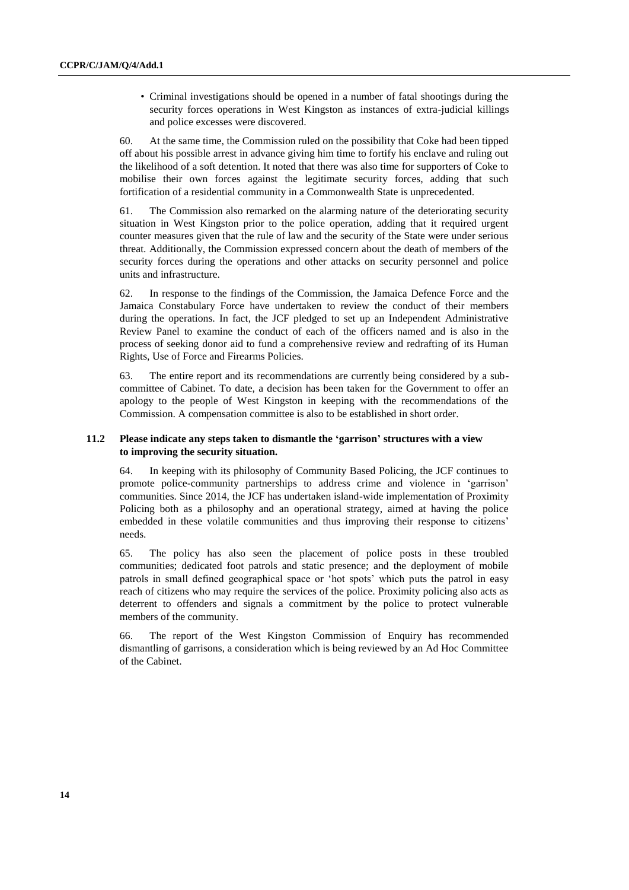• Criminal investigations should be opened in a number of fatal shootings during the security forces operations in West Kingston as instances of extra-judicial killings and police excesses were discovered.

60. At the same time, the Commission ruled on the possibility that Coke had been tipped off about his possible arrest in advance giving him time to fortify his enclave and ruling out the likelihood of a soft detention. It noted that there was also time for supporters of Coke to mobilise their own forces against the legitimate security forces, adding that such fortification of a residential community in a Commonwealth State is unprecedented.

61. The Commission also remarked on the alarming nature of the deteriorating security situation in West Kingston prior to the police operation, adding that it required urgent counter measures given that the rule of law and the security of the State were under serious threat. Additionally, the Commission expressed concern about the death of members of the security forces during the operations and other attacks on security personnel and police units and infrastructure.

62. In response to the findings of the Commission, the Jamaica Defence Force and the Jamaica Constabulary Force have undertaken to review the conduct of their members during the operations. In fact, the JCF pledged to set up an Independent Administrative Review Panel to examine the conduct of each of the officers named and is also in the process of seeking donor aid to fund a comprehensive review and redrafting of its Human Rights, Use of Force and Firearms Policies.

63. The entire report and its recommendations are currently being considered by a subcommittee of Cabinet. To date, a decision has been taken for the Government to offer an apology to the people of West Kingston in keeping with the recommendations of the Commission. A compensation committee is also to be established in short order.

### **11.2 Please indicate any steps taken to dismantle the 'garrison' structures with a view to improving the security situation.**

64. In keeping with its philosophy of Community Based Policing, the JCF continues to promote police-community partnerships to address crime and violence in 'garrison' communities. Since 2014, the JCF has undertaken island-wide implementation of Proximity Policing both as a philosophy and an operational strategy, aimed at having the police embedded in these volatile communities and thus improving their response to citizens' needs.

65. The policy has also seen the placement of police posts in these troubled communities; dedicated foot patrols and static presence; and the deployment of mobile patrols in small defined geographical space or 'hot spots' which puts the patrol in easy reach of citizens who may require the services of the police. Proximity policing also acts as deterrent to offenders and signals a commitment by the police to protect vulnerable members of the community.

66. The report of the West Kingston Commission of Enquiry has recommended dismantling of garrisons, a consideration which is being reviewed by an Ad Hoc Committee of the Cabinet.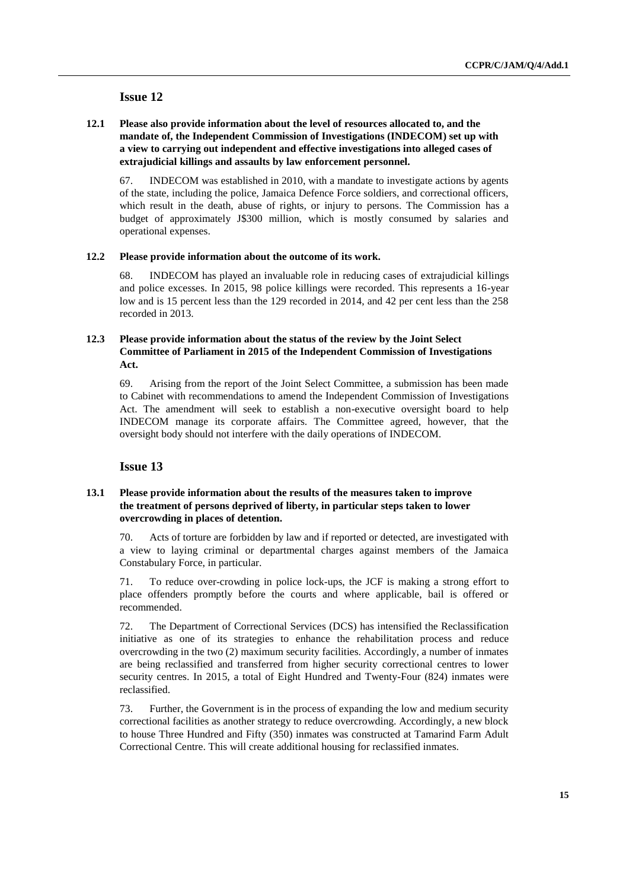# **12.1 Please also provide information about the level of resources allocated to, and the mandate of, the Independent Commission of Investigations (INDECOM) set up with a view to carrying out independent and effective investigations into alleged cases of extrajudicial killings and assaults by law enforcement personnel.**

67. INDECOM was established in 2010, with a mandate to investigate actions by agents of the state, including the police, Jamaica Defence Force soldiers, and correctional officers, which result in the death, abuse of rights, or injury to persons. The Commission has a budget of approximately J\$300 million, which is mostly consumed by salaries and operational expenses.

### **12.2 Please provide information about the outcome of its work.**

68. INDECOM has played an invaluable role in reducing cases of extrajudicial killings and police excesses. In 2015, 98 police killings were recorded. This represents a 16-year low and is 15 percent less than the 129 recorded in 2014, and 42 per cent less than the 258 recorded in 2013.

# **12.3 Please provide information about the status of the review by the Joint Select Committee of Parliament in 2015 of the Independent Commission of Investigations Act.**

69. Arising from the report of the Joint Select Committee, a submission has been made to Cabinet with recommendations to amend the Independent Commission of Investigations Act. The amendment will seek to establish a non-executive oversight board to help INDECOM manage its corporate affairs. The Committee agreed, however, that the oversight body should not interfere with the daily operations of INDECOM.

# **Issue 13**

### **13.1 Please provide information about the results of the measures taken to improve the treatment of persons deprived of liberty, in particular steps taken to lower overcrowding in places of detention.**

70. Acts of torture are forbidden by law and if reported or detected, are investigated with a view to laying criminal or departmental charges against members of the Jamaica Constabulary Force, in particular.

71. To reduce over-crowding in police lock-ups, the JCF is making a strong effort to place offenders promptly before the courts and where applicable, bail is offered or recommended.

72. The Department of Correctional Services (DCS) has intensified the Reclassification initiative as one of its strategies to enhance the rehabilitation process and reduce overcrowding in the two (2) maximum security facilities. Accordingly, a number of inmates are being reclassified and transferred from higher security correctional centres to lower security centres. In 2015, a total of Eight Hundred and Twenty-Four (824) inmates were reclassified.

73. Further, the Government is in the process of expanding the low and medium security correctional facilities as another strategy to reduce overcrowding. Accordingly, a new block to house Three Hundred and Fifty (350) inmates was constructed at Tamarind Farm Adult Correctional Centre. This will create additional housing for reclassified inmates.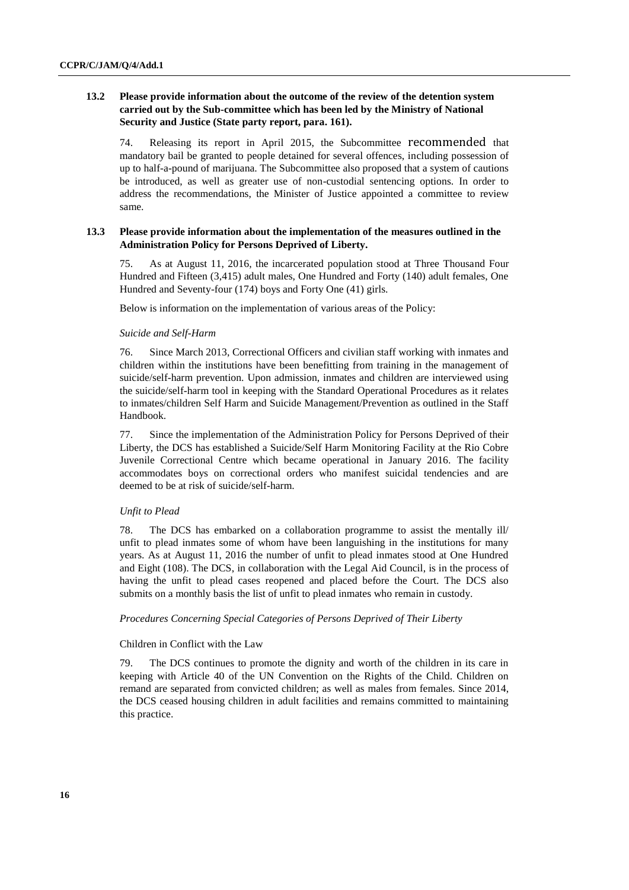### **13.2 Please provide information about the outcome of the review of the detention system carried out by the Sub-committee which has been led by the Ministry of National Security and Justice (State party report, para. 161).**

74. Releasing its report in April 2015, the Subcommittee recommended that mandatory bail be granted to people detained for several offences, including possession of up to half-a-pound of marijuana. The Subcommittee also proposed that a system of cautions be introduced, as well as greater use of non-custodial sentencing options. In order to address the recommendations, the Minister of Justice appointed a committee to review same.

### **13.3 Please provide information about the implementation of the measures outlined in the Administration Policy for Persons Deprived of Liberty.**

75. As at August 11, 2016, the incarcerated population stood at Three Thousand Four Hundred and Fifteen (3,415) adult males, One Hundred and Forty (140) adult females, One Hundred and Seventy-four (174) boys and Forty One (41) girls.

Below is information on the implementation of various areas of the Policy:

#### *Suicide and Self-Harm*

76. Since March 2013, Correctional Officers and civilian staff working with inmates and children within the institutions have been benefitting from training in the management of suicide/self-harm prevention. Upon admission, inmates and children are interviewed using the suicide/self-harm tool in keeping with the Standard Operational Procedures as it relates to inmates/children Self Harm and Suicide Management/Prevention as outlined in the Staff Handbook.

77. Since the implementation of the Administration Policy for Persons Deprived of their Liberty, the DCS has established a Suicide/Self Harm Monitoring Facility at the Rio Cobre Juvenile Correctional Centre which became operational in January 2016. The facility accommodates boys on correctional orders who manifest suicidal tendencies and are deemed to be at risk of suicide/self-harm.

#### *Unfit to Plead*

78. The DCS has embarked on a collaboration programme to assist the mentally ill/ unfit to plead inmates some of whom have been languishing in the institutions for many years. As at August 11, 2016 the number of unfit to plead inmates stood at One Hundred and Eight (108). The DCS, in collaboration with the Legal Aid Council, is in the process of having the unfit to plead cases reopened and placed before the Court. The DCS also submits on a monthly basis the list of unfit to plead inmates who remain in custody.

#### *Procedures Concerning Special Categories of Persons Deprived of Their Liberty*

### Children in Conflict with the Law

79. The DCS continues to promote the dignity and worth of the children in its care in keeping with Article 40 of the UN Convention on the Rights of the Child. Children on remand are separated from convicted children; as well as males from females. Since 2014, the DCS ceased housing children in adult facilities and remains committed to maintaining this practice.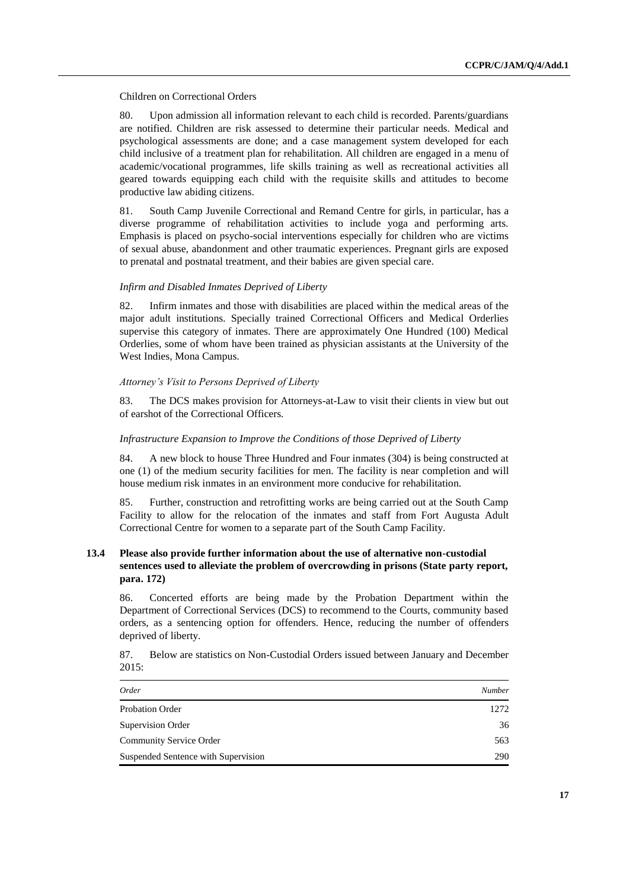#### Children on Correctional Orders

80. Upon admission all information relevant to each child is recorded. Parents/guardians are notified. Children are risk assessed to determine their particular needs. Medical and psychological assessments are done; and a case management system developed for each child inclusive of a treatment plan for rehabilitation. All children are engaged in a menu of academic/vocational programmes, life skills training as well as recreational activities all geared towards equipping each child with the requisite skills and attitudes to become productive law abiding citizens.

81. South Camp Juvenile Correctional and Remand Centre for girls, in particular, has a diverse programme of rehabilitation activities to include yoga and performing arts. Emphasis is placed on psycho-social interventions especially for children who are victims of sexual abuse, abandonment and other traumatic experiences. Pregnant girls are exposed to prenatal and postnatal treatment, and their babies are given special care.

#### *Infirm and Disabled Inmates Deprived of Liberty*

82. Infirm inmates and those with disabilities are placed within the medical areas of the major adult institutions. Specially trained Correctional Officers and Medical Orderlies supervise this category of inmates. There are approximately One Hundred (100) Medical Orderlies, some of whom have been trained as physician assistants at the University of the West Indies, Mona Campus.

#### *Attorney's Visit to Persons Deprived of Liberty*

83. The DCS makes provision for Attorneys-at-Law to visit their clients in view but out of earshot of the Correctional Officers.

#### *Infrastructure Expansion to Improve the Conditions of those Deprived of Liberty*

84. A new block to house Three Hundred and Four inmates (304) is being constructed at one (1) of the medium security facilities for men. The facility is near completion and will house medium risk inmates in an environment more conducive for rehabilitation.

85. Further, construction and retrofitting works are being carried out at the South Camp Facility to allow for the relocation of the inmates and staff from Fort Augusta Adult Correctional Centre for women to a separate part of the South Camp Facility.

# **13.4 Please also provide further information about the use of alternative non-custodial sentences used to alleviate the problem of overcrowding in prisons (State party report, para. 172)**

86. Concerted efforts are being made by the Probation Department within the Department of Correctional Services (DCS) to recommend to the Courts, community based orders, as a sentencing option for offenders. Hence, reducing the number of offenders deprived of liberty.

| 87.   | Below are statistics on Non-Custodial Orders issued between January and December |  |
|-------|----------------------------------------------------------------------------------|--|
| 2015: |                                                                                  |  |

| Order                               | Number |
|-------------------------------------|--------|
| <b>Probation Order</b>              | 1272   |
| Supervision Order                   | 36     |
| <b>Community Service Order</b>      | 563    |
| Suspended Sentence with Supervision | 290    |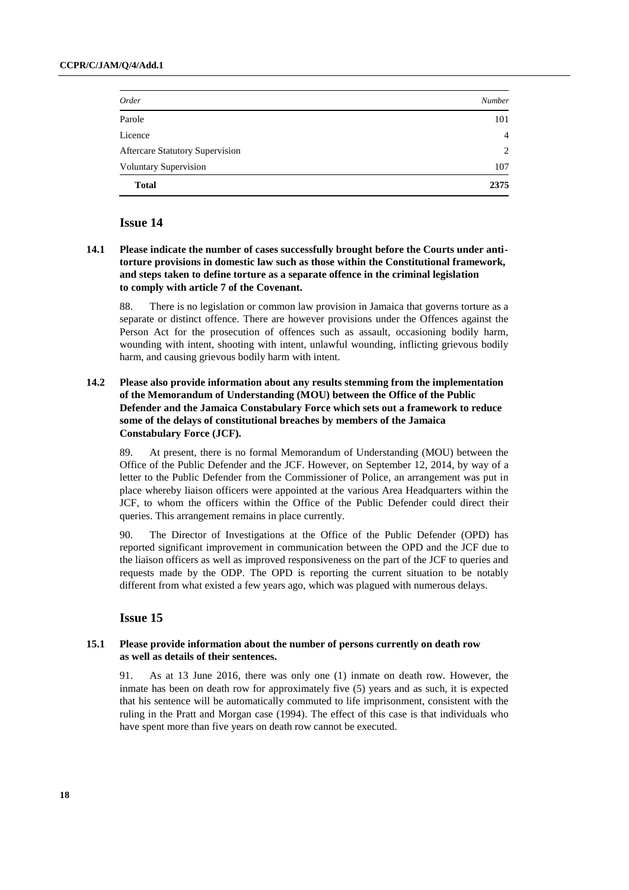| Order                                  | Number         |
|----------------------------------------|----------------|
| Parole                                 | 101            |
| Licence                                | $\overline{4}$ |
| <b>Aftercare Statutory Supervision</b> | $\overline{2}$ |
| <b>Voluntary Supervision</b>           | 107            |
| <b>Total</b>                           | 2375           |

# **14.1 Please indicate the number of cases successfully brought before the Courts under antitorture provisions in domestic law such as those within the Constitutional framework, and steps taken to define torture as a separate offence in the criminal legislation to comply with article 7 of the Covenant.**

88. There is no legislation or common law provision in Jamaica that governs torture as a separate or distinct offence. There are however provisions under the Offences against the Person Act for the prosecution of offences such as assault, occasioning bodily harm, wounding with intent, shooting with intent, unlawful wounding, inflicting grievous bodily harm, and causing grievous bodily harm with intent.

# **14.2 Please also provide information about any results stemming from the implementation of the Memorandum of Understanding (MOU) between the Office of the Public Defender and the Jamaica Constabulary Force which sets out a framework to reduce some of the delays of constitutional breaches by members of the Jamaica Constabulary Force (JCF).**

89. At present, there is no formal Memorandum of Understanding (MOU) between the Office of the Public Defender and the JCF. However, on September 12, 2014, by way of a letter to the Public Defender from the Commissioner of Police, an arrangement was put in place whereby liaison officers were appointed at the various Area Headquarters within the JCF, to whom the officers within the Office of the Public Defender could direct their queries. This arrangement remains in place currently.

90. The Director of Investigations at the Office of the Public Defender (OPD) has reported significant improvement in communication between the OPD and the JCF due to the liaison officers as well as improved responsiveness on the part of the JCF to queries and requests made by the ODP. The OPD is reporting the current situation to be notably different from what existed a few years ago, which was plagued with numerous delays.

# **Issue 15**

# **15.1 Please provide information about the number of persons currently on death row as well as details of their sentences.**

91. As at 13 June 2016, there was only one (1) inmate on death row. However, the inmate has been on death row for approximately five (5) years and as such, it is expected that his sentence will be automatically commuted to life imprisonment, consistent with the ruling in the Pratt and Morgan case (1994). The effect of this case is that individuals who have spent more than five years on death row cannot be executed.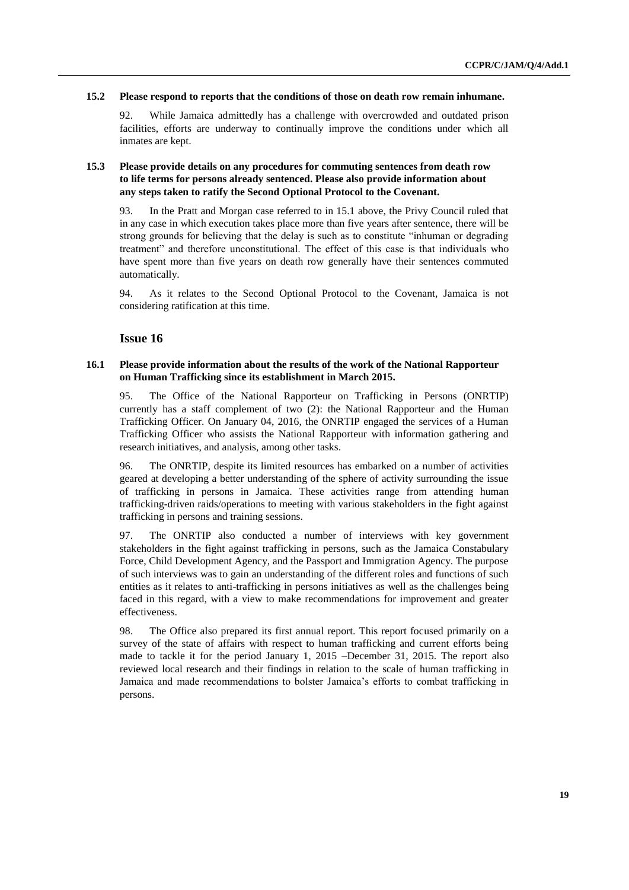#### **15.2 Please respond to reports that the conditions of those on death row remain inhumane.**

92. While Jamaica admittedly has a challenge with overcrowded and outdated prison facilities, efforts are underway to continually improve the conditions under which all inmates are kept.

### **15.3 Please provide details on any procedures for commuting sentences from death row to life terms for persons already sentenced. Please also provide information about any steps taken to ratify the Second Optional Protocol to the Covenant.**

93. In the Pratt and Morgan case referred to in 15.1 above, the Privy Council ruled that in any case in which execution takes place more than five years after sentence, there will be strong grounds for believing that the delay is such as to constitute "inhuman or degrading treatment" and therefore unconstitutional. The effect of this case is that individuals who have spent more than five years on death row generally have their sentences commuted automatically.

94. As it relates to the Second Optional Protocol to the Covenant, Jamaica is not considering ratification at this time.

# **Issue 16**

### **16.1 Please provide information about the results of the work of the National Rapporteur on Human Trafficking since its establishment in March 2015.**

95. The Office of the National Rapporteur on Trafficking in Persons (ONRTIP) currently has a staff complement of two (2): the National Rapporteur and the Human Trafficking Officer. On January 04, 2016, the ONRTIP engaged the services of a Human Trafficking Officer who assists the National Rapporteur with information gathering and research initiatives, and analysis, among other tasks.

96. The ONRTIP, despite its limited resources has embarked on a number of activities geared at developing a better understanding of the sphere of activity surrounding the issue of trafficking in persons in Jamaica. These activities range from attending human trafficking-driven raids/operations to meeting with various stakeholders in the fight against trafficking in persons and training sessions.

97. The ONRTIP also conducted a number of interviews with key government stakeholders in the fight against trafficking in persons, such as the Jamaica Constabulary Force, Child Development Agency, and the Passport and Immigration Agency. The purpose of such interviews was to gain an understanding of the different roles and functions of such entities as it relates to anti-trafficking in persons initiatives as well as the challenges being faced in this regard, with a view to make recommendations for improvement and greater effectiveness.

98. The Office also prepared its first annual report. This report focused primarily on a survey of the state of affairs with respect to human trafficking and current efforts being made to tackle it for the period January 1, 2015 –December 31, 2015. The report also reviewed local research and their findings in relation to the scale of human trafficking in Jamaica and made recommendations to bolster Jamaica's efforts to combat trafficking in persons.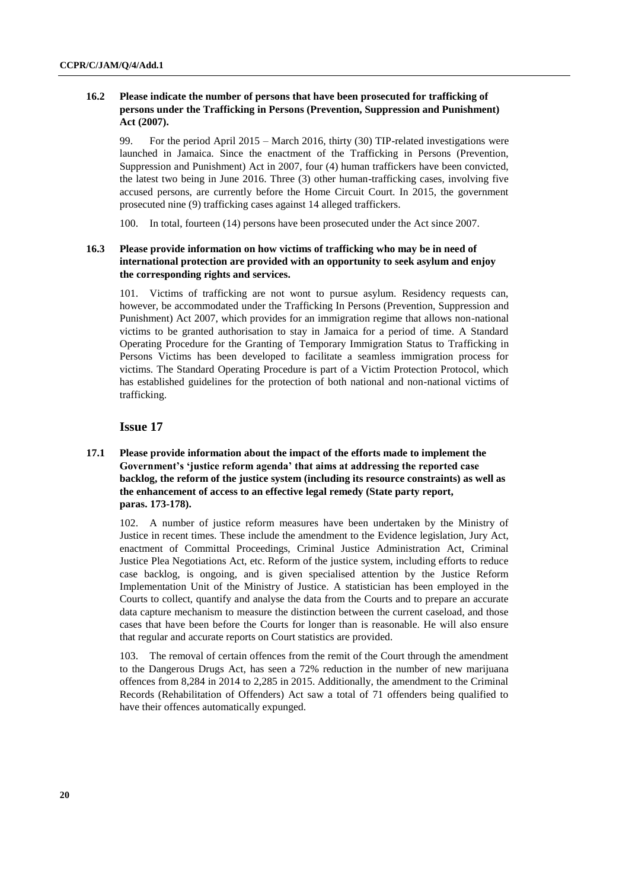# **16.2 Please indicate the number of persons that have been prosecuted for trafficking of persons under the Trafficking in Persons (Prevention, Suppression and Punishment) Act (2007).**

99. For the period April 2015 – March 2016, thirty (30) TIP-related investigations were launched in Jamaica. Since the enactment of the Trafficking in Persons (Prevention, Suppression and Punishment) Act in 2007, four (4) human traffickers have been convicted, the latest two being in June 2016. Three (3) other human-trafficking cases, involving five accused persons, are currently before the Home Circuit Court. In 2015, the government prosecuted nine (9) trafficking cases against 14 alleged traffickers.

100. In total, fourteen (14) persons have been prosecuted under the Act since 2007.

### **16.3 Please provide information on how victims of trafficking who may be in need of international protection are provided with an opportunity to seek asylum and enjoy the corresponding rights and services.**

101. Victims of trafficking are not wont to pursue asylum. Residency requests can, however, be accommodated under the Trafficking In Persons (Prevention, Suppression and Punishment) Act 2007, which provides for an immigration regime that allows non-national victims to be granted authorisation to stay in Jamaica for a period of time. A Standard Operating Procedure for the Granting of Temporary Immigration Status to Trafficking in Persons Victims has been developed to facilitate a seamless immigration process for victims. The Standard Operating Procedure is part of a Victim Protection Protocol, which has established guidelines for the protection of both national and non-national victims of trafficking.

# **Issue 17**

# **17.1 Please provide information about the impact of the efforts made to implement the Government's 'justice reform agenda' that aims at addressing the reported case backlog, the reform of the justice system (including its resource constraints) as well as the enhancement of access to an effective legal remedy (State party report, paras. 173-178).**

102. A number of justice reform measures have been undertaken by the Ministry of Justice in recent times. These include the amendment to the Evidence legislation, Jury Act, enactment of Committal Proceedings, Criminal Justice Administration Act, Criminal Justice Plea Negotiations Act, etc. Reform of the justice system, including efforts to reduce case backlog, is ongoing, and is given specialised attention by the Justice Reform Implementation Unit of the Ministry of Justice. A statistician has been employed in the Courts to collect, quantify and analyse the data from the Courts and to prepare an accurate data capture mechanism to measure the distinction between the current caseload, and those cases that have been before the Courts for longer than is reasonable. He will also ensure that regular and accurate reports on Court statistics are provided.

103. The removal of certain offences from the remit of the Court through the amendment to the Dangerous Drugs Act, has seen a 72% reduction in the number of new marijuana offences from 8,284 in 2014 to 2,285 in 2015. Additionally, the amendment to the Criminal Records (Rehabilitation of Offenders) Act saw a total of 71 offenders being qualified to have their offences automatically expunged.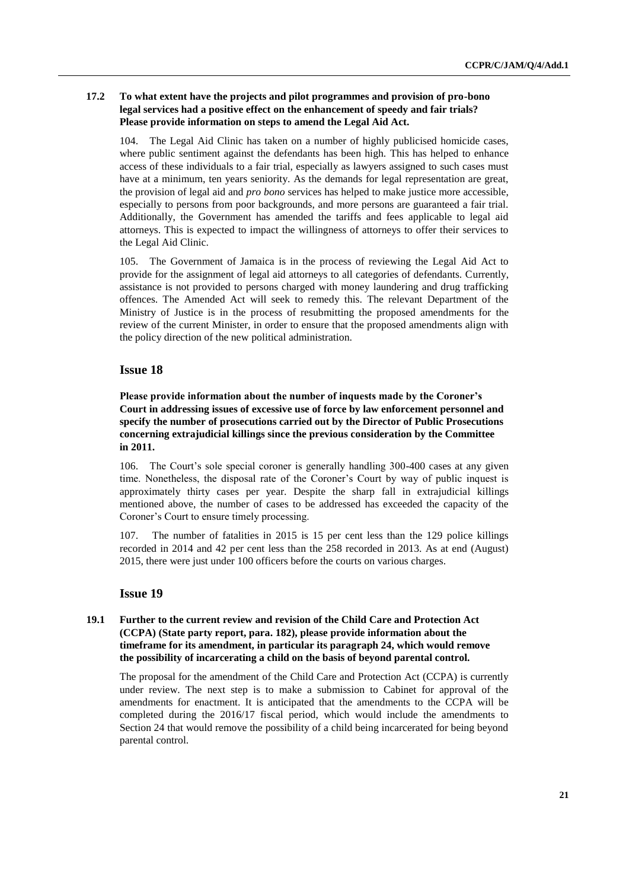# **17.2 To what extent have the projects and pilot programmes and provision of pro-bono legal services had a positive effect on the enhancement of speedy and fair trials? Please provide information on steps to amend the Legal Aid Act.**

104. The Legal Aid Clinic has taken on a number of highly publicised homicide cases, where public sentiment against the defendants has been high. This has helped to enhance access of these individuals to a fair trial, especially as lawyers assigned to such cases must have at a minimum, ten years seniority. As the demands for legal representation are great, the provision of legal aid and *pro bono* services has helped to make justice more accessible, especially to persons from poor backgrounds, and more persons are guaranteed a fair trial. Additionally, the Government has amended the tariffs and fees applicable to legal aid attorneys. This is expected to impact the willingness of attorneys to offer their services to the Legal Aid Clinic.

105. The Government of Jamaica is in the process of reviewing the Legal Aid Act to provide for the assignment of legal aid attorneys to all categories of defendants. Currently, assistance is not provided to persons charged with money laundering and drug trafficking offences. The Amended Act will seek to remedy this. The relevant Department of the Ministry of Justice is in the process of resubmitting the proposed amendments for the review of the current Minister, in order to ensure that the proposed amendments align with the policy direction of the new political administration.

# **Issue 18**

**Please provide information about the number of inquests made by the Coroner's Court in addressing issues of excessive use of force by law enforcement personnel and specify the number of prosecutions carried out by the Director of Public Prosecutions concerning extrajudicial killings since the previous consideration by the Committee in 2011.** 

106. The Court's sole special coroner is generally handling 300-400 cases at any given time. Nonetheless, the disposal rate of the Coroner's Court by way of public inquest is approximately thirty cases per year. Despite the sharp fall in extrajudicial killings mentioned above, the number of cases to be addressed has exceeded the capacity of the Coroner's Court to ensure timely processing.

107. The number of fatalities in 2015 is 15 per cent less than the 129 police killings recorded in 2014 and 42 per cent less than the 258 recorded in 2013. As at end (August) 2015, there were just under 100 officers before the courts on various charges.

# **Issue 19**

# **19.1 Further to the current review and revision of the Child Care and Protection Act (CCPA) (State party report, para. 182), please provide information about the timeframe for its amendment, in particular its paragraph 24, which would remove the possibility of incarcerating a child on the basis of beyond parental control.**

The proposal for the amendment of the Child Care and Protection Act (CCPA) is currently under review. The next step is to make a submission to Cabinet for approval of the amendments for enactment. It is anticipated that the amendments to the CCPA will be completed during the 2016/17 fiscal period, which would include the amendments to Section 24 that would remove the possibility of a child being incarcerated for being beyond parental control.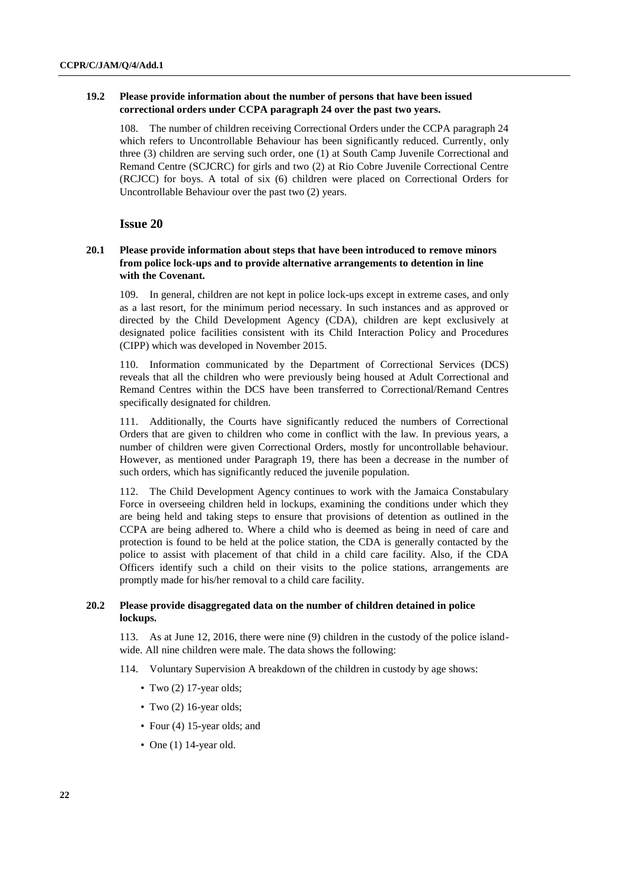### **19.2 Please provide information about the number of persons that have been issued correctional orders under CCPA paragraph 24 over the past two years.**

108. The number of children receiving Correctional Orders under the CCPA paragraph 24 which refers to Uncontrollable Behaviour has been significantly reduced. Currently, only three (3) children are serving such order, one (1) at South Camp Juvenile Correctional and Remand Centre (SCJCRC) for girls and two (2) at Rio Cobre Juvenile Correctional Centre (RCJCC) for boys. A total of six (6) children were placed on Correctional Orders for Uncontrollable Behaviour over the past two (2) years.

# **Issue 20**

# **20.1 Please provide information about steps that have been introduced to remove minors from police lock-ups and to provide alternative arrangements to detention in line with the Covenant.**

109. In general, children are not kept in police lock-ups except in extreme cases, and only as a last resort, for the minimum period necessary. In such instances and as approved or directed by the Child Development Agency (CDA), children are kept exclusively at designated police facilities consistent with its Child Interaction Policy and Procedures (CIPP) which was developed in November 2015.

110. Information communicated by the Department of Correctional Services (DCS) reveals that all the children who were previously being housed at Adult Correctional and Remand Centres within the DCS have been transferred to Correctional/Remand Centres specifically designated for children.

111. Additionally, the Courts have significantly reduced the numbers of Correctional Orders that are given to children who come in conflict with the law. In previous years, a number of children were given Correctional Orders, mostly for uncontrollable behaviour. However, as mentioned under Paragraph 19, there has been a decrease in the number of such orders, which has significantly reduced the juvenile population.

112. The Child Development Agency continues to work with the Jamaica Constabulary Force in overseeing children held in lockups, examining the conditions under which they are being held and taking steps to ensure that provisions of detention as outlined in the CCPA are being adhered to. Where a child who is deemed as being in need of care and protection is found to be held at the police station, the CDA is generally contacted by the police to assist with placement of that child in a child care facility. Also, if the CDA Officers identify such a child on their visits to the police stations, arrangements are promptly made for his/her removal to a child care facility.

### **20.2 Please provide disaggregated data on the number of children detained in police lockups.**

113. As at June 12, 2016, there were nine (9) children in the custody of the police islandwide. All nine children were male. The data shows the following:

- 114. Voluntary Supervision A breakdown of the children in custody by age shows:
	- Two (2) 17-year olds;
	- Two (2) 16-year olds;
	- Four (4) 15-year olds; and
	- One (1) 14-year old.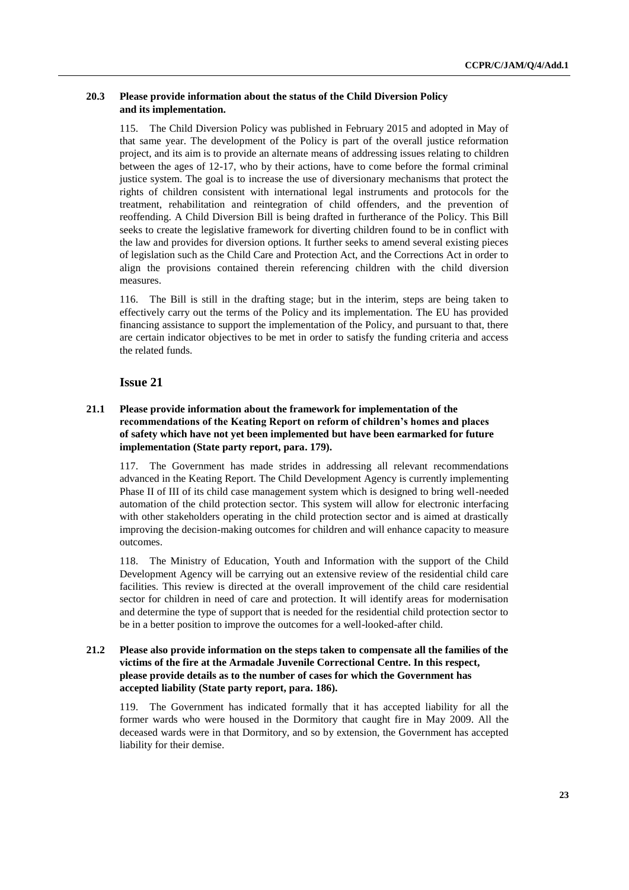### **20.3 Please provide information about the status of the Child Diversion Policy and its implementation.**

115. The Child Diversion Policy was published in February 2015 and adopted in May of that same year. The development of the Policy is part of the overall justice reformation project, and its aim is to provide an alternate means of addressing issues relating to children between the ages of 12-17, who by their actions, have to come before the formal criminal justice system. The goal is to increase the use of diversionary mechanisms that protect the rights of children consistent with international legal instruments and protocols for the treatment, rehabilitation and reintegration of child offenders, and the prevention of reoffending. A Child Diversion Bill is being drafted in furtherance of the Policy. This Bill seeks to create the legislative framework for diverting children found to be in conflict with the law and provides for diversion options. It further seeks to amend several existing pieces of legislation such as the Child Care and Protection Act, and the Corrections Act in order to align the provisions contained therein referencing children with the child diversion measures.

116. The Bill is still in the drafting stage; but in the interim, steps are being taken to effectively carry out the terms of the Policy and its implementation. The EU has provided financing assistance to support the implementation of the Policy, and pursuant to that, there are certain indicator objectives to be met in order to satisfy the funding criteria and access the related funds.

# **Issue 21**

# **21.1 Please provide information about the framework for implementation of the recommendations of the Keating Report on reform of children's homes and places of safety which have not yet been implemented but have been earmarked for future implementation (State party report, para. 179).**

117. The Government has made strides in addressing all relevant recommendations advanced in the Keating Report. The Child Development Agency is currently implementing Phase II of III of its child case management system which is designed to bring well-needed automation of the child protection sector. This system will allow for electronic interfacing with other stakeholders operating in the child protection sector and is aimed at drastically improving the decision-making outcomes for children and will enhance capacity to measure outcomes.

118. The Ministry of Education, Youth and Information with the support of the Child Development Agency will be carrying out an extensive review of the residential child care facilities. This review is directed at the overall improvement of the child care residential sector for children in need of care and protection. It will identify areas for modernisation and determine the type of support that is needed for the residential child protection sector to be in a better position to improve the outcomes for a well-looked-after child.

# **21.2 Please also provide information on the steps taken to compensate all the families of the victims of the fire at the Armadale Juvenile Correctional Centre. In this respect, please provide details as to the number of cases for which the Government has accepted liability (State party report, para. 186).**

119. The Government has indicated formally that it has accepted liability for all the former wards who were housed in the Dormitory that caught fire in May 2009. All the deceased wards were in that Dormitory, and so by extension, the Government has accepted liability for their demise.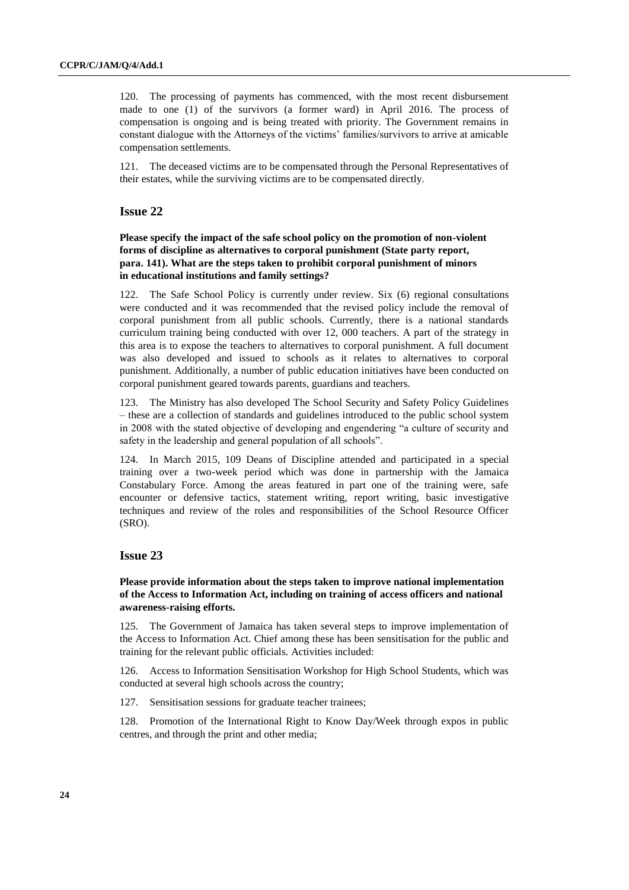120. The processing of payments has commenced, with the most recent disbursement made to one (1) of the survivors (a former ward) in April 2016. The process of compensation is ongoing and is being treated with priority. The Government remains in constant dialogue with the Attorneys of the victims' families/survivors to arrive at amicable compensation settlements.

121. The deceased victims are to be compensated through the Personal Representatives of their estates, while the surviving victims are to be compensated directly.

### **Issue 22**

**Please specify the impact of the safe school policy on the promotion of non-violent forms of discipline as alternatives to corporal punishment (State party report, para. 141). What are the steps taken to prohibit corporal punishment of minors in educational institutions and family settings?**

122. The Safe School Policy is currently under review. Six (6) regional consultations were conducted and it was recommended that the revised policy include the removal of corporal punishment from all public schools. Currently, there is a national standards curriculum training being conducted with over 12, 000 teachers. A part of the strategy in this area is to expose the teachers to alternatives to corporal punishment. A full document was also developed and issued to schools as it relates to alternatives to corporal punishment. Additionally, a number of public education initiatives have been conducted on corporal punishment geared towards parents, guardians and teachers.

123. The Ministry has also developed The School Security and Safety Policy Guidelines – these are a collection of standards and guidelines introduced to the public school system in 2008 with the stated objective of developing and engendering "a culture of security and safety in the leadership and general population of all schools".

124. In March 2015, 109 Deans of Discipline attended and participated in a special training over a two-week period which was done in partnership with the Jamaica Constabulary Force. Among the areas featured in part one of the training were, safe encounter or defensive tactics, statement writing, report writing, basic investigative techniques and review of the roles and responsibilities of the School Resource Officer (SRO).

# **Issue 23**

### **Please provide information about the steps taken to improve national implementation of the Access to Information Act, including on training of access officers and national awareness-raising efforts.**

125. The Government of Jamaica has taken several steps to improve implementation of the Access to Information Act. Chief among these has been sensitisation for the public and training for the relevant public officials. Activities included:

126. Access to Information Sensitisation Workshop for High School Students, which was conducted at several high schools across the country;

127. Sensitisation sessions for graduate teacher trainees;

128. Promotion of the International Right to Know Day/Week through expos in public centres, and through the print and other media;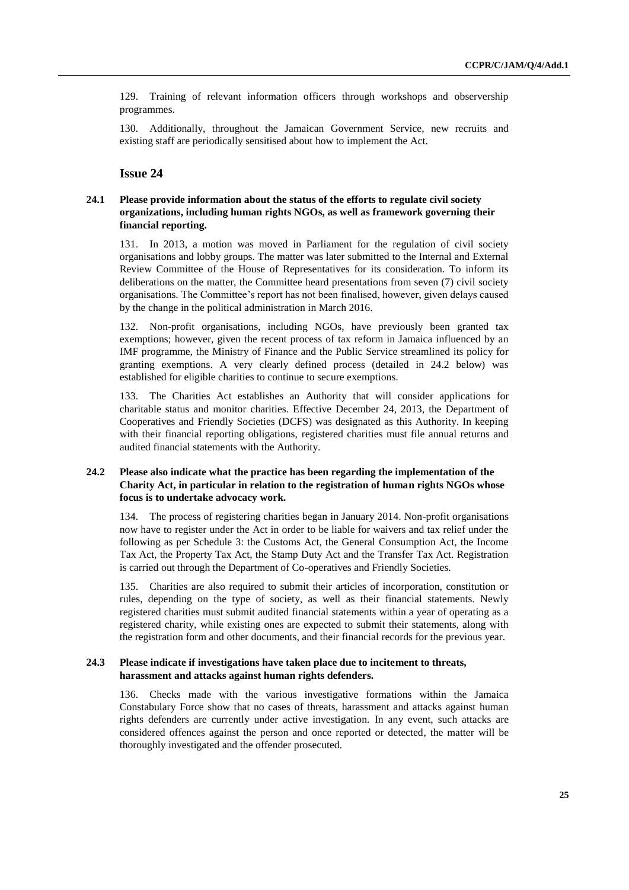129. Training of relevant information officers through workshops and observership programmes.

130. Additionally, throughout the Jamaican Government Service, new recruits and existing staff are periodically sensitised about how to implement the Act.

# **Issue 24**

# **24.1 Please provide information about the status of the efforts to regulate civil society organizations, including human rights NGOs, as well as framework governing their financial reporting.**

131. In 2013, a motion was moved in Parliament for the regulation of civil society organisations and lobby groups. The matter was later submitted to the Internal and External Review Committee of the House of Representatives for its consideration. To inform its deliberations on the matter, the Committee heard presentations from seven (7) civil society organisations. The Committee's report has not been finalised, however, given delays caused by the change in the political administration in March 2016.

132. Non-profit organisations, including NGOs, have previously been granted tax exemptions; however, given the recent process of tax reform in Jamaica influenced by an IMF programme, the Ministry of Finance and the Public Service streamlined its policy for granting exemptions. A very clearly defined process (detailed in 24.2 below) was established for eligible charities to continue to secure exemptions.

133. The Charities Act establishes an Authority that will consider applications for charitable status and monitor charities. Effective December 24, 2013, the Department of Cooperatives and Friendly Societies (DCFS) was designated as this Authority. In keeping with their financial reporting obligations, registered charities must file annual returns and audited financial statements with the Authority.

### **24.2 Please also indicate what the practice has been regarding the implementation of the Charity Act, in particular in relation to the registration of human rights NGOs whose focus is to undertake advocacy work.**

134. The process of registering charities began in January 2014. Non-profit organisations now have to register under the Act in order to be liable for waivers and tax relief under the following as per Schedule 3: the Customs Act, the General Consumption Act, the Income Tax Act, the Property Tax Act, the Stamp Duty Act and the Transfer Tax Act. Registration is carried out through the Department of Co-operatives and Friendly Societies.

135. Charities are also required to submit their articles of incorporation, constitution or rules, depending on the type of society, as well as their financial statements. Newly registered charities must submit audited financial statements within a year of operating as a registered charity, while existing ones are expected to submit their statements, along with the registration form and other documents, and their financial records for the previous year.

### **24.3 Please indicate if investigations have taken place due to incitement to threats, harassment and attacks against human rights defenders.**

136. Checks made with the various investigative formations within the Jamaica Constabulary Force show that no cases of threats, harassment and attacks against human rights defenders are currently under active investigation. In any event, such attacks are considered offences against the person and once reported or detected, the matter will be thoroughly investigated and the offender prosecuted.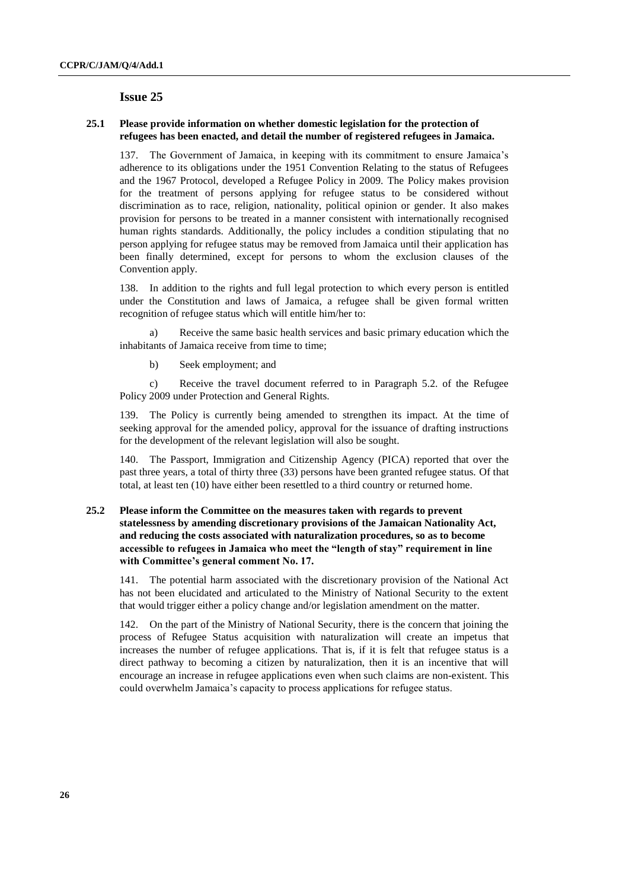### **25.1 Please provide information on whether domestic legislation for the protection of refugees has been enacted, and detail the number of registered refugees in Jamaica.**

137. The Government of Jamaica, in keeping with its commitment to ensure Jamaica's adherence to its obligations under the 1951 Convention Relating to the status of Refugees and the 1967 Protocol, developed a Refugee Policy in 2009. The Policy makes provision for the treatment of persons applying for refugee status to be considered without discrimination as to race, religion, nationality, political opinion or gender. It also makes provision for persons to be treated in a manner consistent with internationally recognised human rights standards. Additionally, the policy includes a condition stipulating that no person applying for refugee status may be removed from Jamaica until their application has been finally determined, except for persons to whom the exclusion clauses of the Convention apply.

138. In addition to the rights and full legal protection to which every person is entitled under the Constitution and laws of Jamaica, a refugee shall be given formal written recognition of refugee status which will entitle him/her to:

a) Receive the same basic health services and basic primary education which the inhabitants of Jamaica receive from time to time;

b) Seek employment; and

c) Receive the travel document referred to in Paragraph 5.2. of the Refugee Policy 2009 under Protection and General Rights.

The Policy is currently being amended to strengthen its impact. At the time of seeking approval for the amended policy, approval for the issuance of drafting instructions for the development of the relevant legislation will also be sought.

140. The Passport, Immigration and Citizenship Agency (PICA) reported that over the past three years, a total of thirty three (33) persons have been granted refugee status. Of that total, at least ten (10) have either been resettled to a third country or returned home.

# **25.2 Please inform the Committee on the measures taken with regards to prevent statelessness by amending discretionary provisions of the Jamaican Nationality Act, and reducing the costs associated with naturalization procedures, so as to become accessible to refugees in Jamaica who meet the "length of stay" requirement in line with Committee's general comment No. 17.**

141. The potential harm associated with the discretionary provision of the National Act has not been elucidated and articulated to the Ministry of National Security to the extent that would trigger either a policy change and/or legislation amendment on the matter.

142. On the part of the Ministry of National Security, there is the concern that joining the process of Refugee Status acquisition with naturalization will create an impetus that increases the number of refugee applications. That is, if it is felt that refugee status is a direct pathway to becoming a citizen by naturalization, then it is an incentive that will encourage an increase in refugee applications even when such claims are non-existent. This could overwhelm Jamaica's capacity to process applications for refugee status.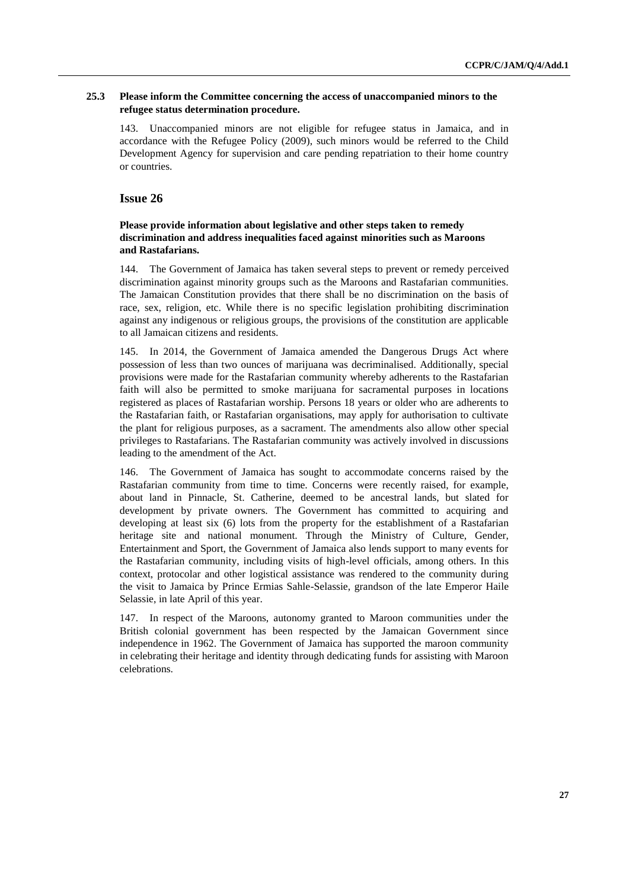### **25.3 Please inform the Committee concerning the access of unaccompanied minors to the refugee status determination procedure.**

143. Unaccompanied minors are not eligible for refugee status in Jamaica, and in accordance with the Refugee Policy (2009), such minors would be referred to the Child Development Agency for supervision and care pending repatriation to their home country or countries.

# **Issue 26**

# **Please provide information about legislative and other steps taken to remedy discrimination and address inequalities faced against minorities such as Maroons and Rastafarians.**

144. The Government of Jamaica has taken several steps to prevent or remedy perceived discrimination against minority groups such as the Maroons and Rastafarian communities. The Jamaican Constitution provides that there shall be no discrimination on the basis of race, sex, religion, etc. While there is no specific legislation prohibiting discrimination against any indigenous or religious groups, the provisions of the constitution are applicable to all Jamaican citizens and residents.

145. In 2014, the Government of Jamaica amended the Dangerous Drugs Act where possession of less than two ounces of marijuana was decriminalised. Additionally, special provisions were made for the Rastafarian community whereby adherents to the Rastafarian faith will also be permitted to smoke marijuana for sacramental purposes in locations registered as places of Rastafarian worship. Persons 18 years or older who are adherents to the Rastafarian faith, or Rastafarian organisations, may apply for authorisation to cultivate the plant for religious purposes, as a sacrament. The amendments also allow other special privileges to Rastafarians. The Rastafarian community was actively involved in discussions leading to the amendment of the Act.

146. The Government of Jamaica has sought to accommodate concerns raised by the Rastafarian community from time to time. Concerns were recently raised, for example, about land in Pinnacle, St. Catherine, deemed to be ancestral lands, but slated for development by private owners. The Government has committed to acquiring and developing at least six (6) lots from the property for the establishment of a Rastafarian heritage site and national monument. Through the Ministry of Culture, Gender, Entertainment and Sport, the Government of Jamaica also lends support to many events for the Rastafarian community, including visits of high-level officials, among others. In this context, protocolar and other logistical assistance was rendered to the community during the visit to Jamaica by Prince Ermias Sahle-Selassie, grandson of the late Emperor Haile Selassie, in late April of this year.

147. In respect of the Maroons, autonomy granted to Maroon communities under the British colonial government has been respected by the Jamaican Government since independence in 1962. The Government of Jamaica has supported the maroon community in celebrating their heritage and identity through dedicating funds for assisting with Maroon celebrations.